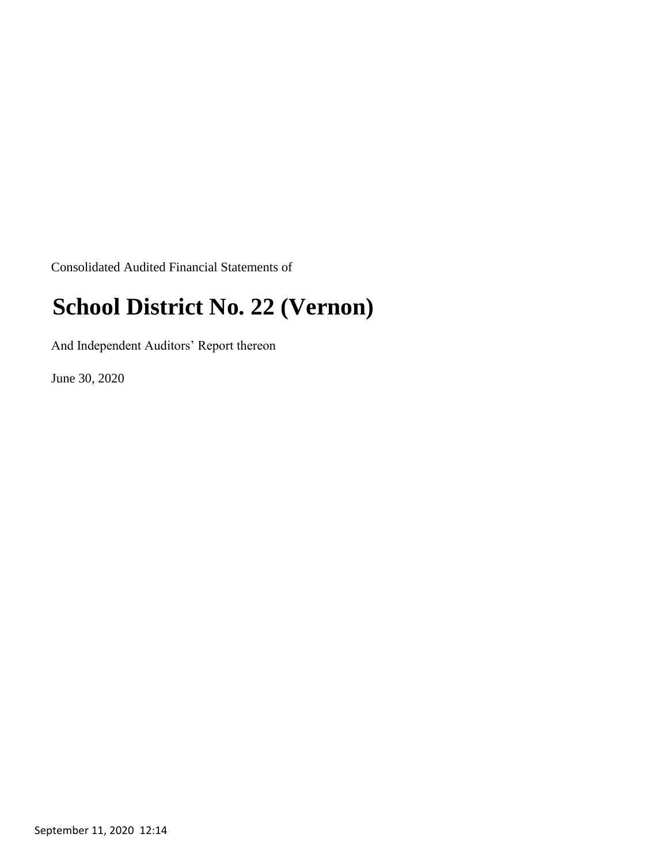Consolidated Audited Financial Statements of

## **School District No. 22 (Vernon)**

And Independent Auditors' Report thereon

June 30, 2020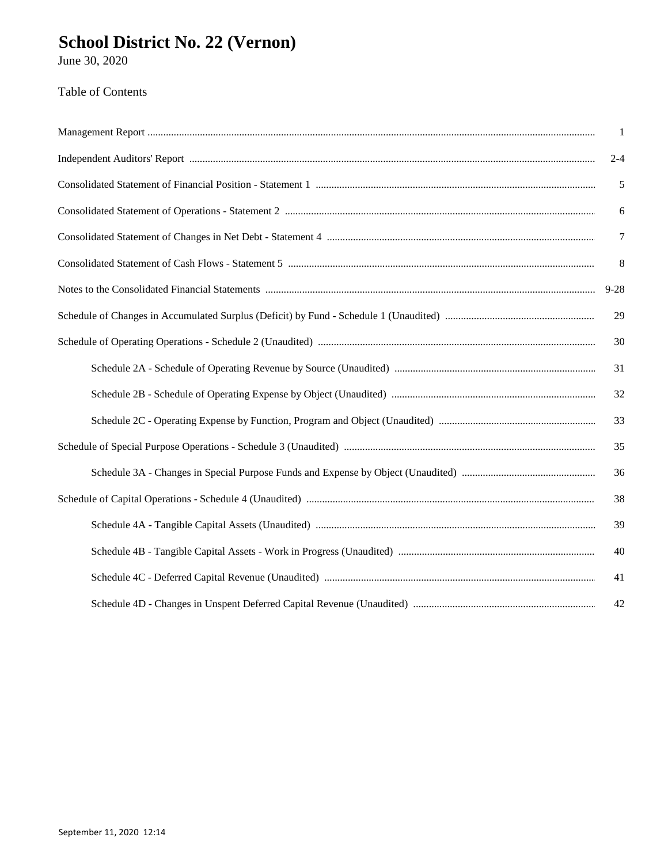# School District No. 22 (Vernon)<br>June 30, 2020

### Table of Contents

| $\overline{1}$ |
|----------------|
| $2 - 4$        |
| $\sqrt{5}$     |
| 6              |
| $\overline{7}$ |
| 8              |
| $9 - 28$       |
| 29             |
| 30             |
| 31             |
| 32             |
| 33             |
| 35             |
| 36             |
| 38             |
| 39             |
| 40             |
| 41             |
| 42             |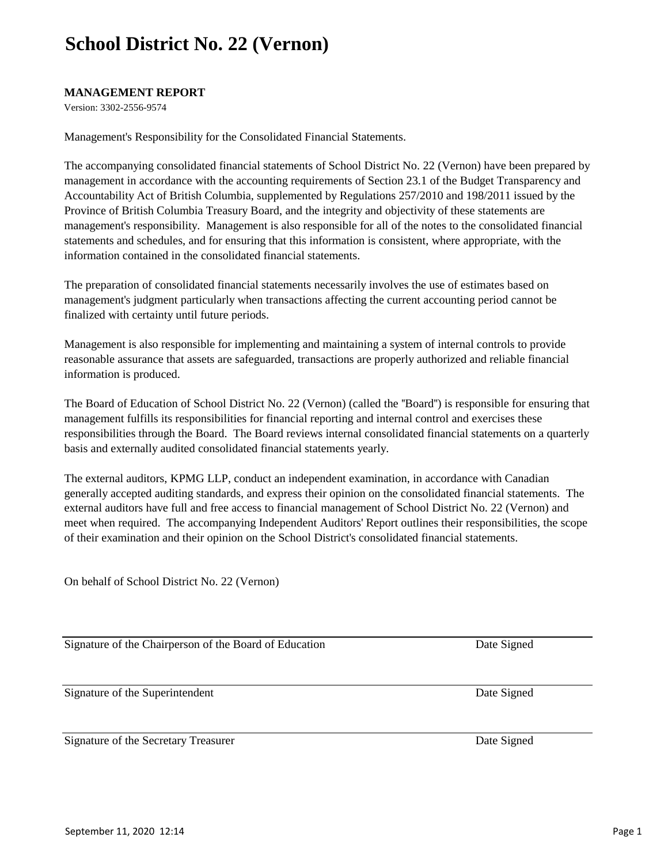#### **MANAGEMENT REPORT**

Version: 3302-2556-9574

Management's Responsibility for the Consolidated Financial Statements.

The accompanying consolidated financial statements of School District No. 22 (Vernon) have been prepared by management in accordance with the accounting requirements of Section 23.1 of the Budget Transparency and Accountability Act of British Columbia, supplemented by Regulations 257/2010 and 198/2011 issued by the Province of British Columbia Treasury Board, and the integrity and objectivity of these statements are management's responsibility. Management is also responsible for all of the notes to the consolidated financial statements and schedules, and for ensuring that this information is consistent, where appropriate, with the information contained in the consolidated financial statements.

The preparation of consolidated financial statements necessarily involves the use of estimates based on management's judgment particularly when transactions affecting the current accounting period cannot be finalized with certainty until future periods.

Management is also responsible for implementing and maintaining a system of internal controls to provide reasonable assurance that assets are safeguarded, transactions are properly authorized and reliable financial information is produced.

The Board of Education of School District No. 22 (Vernon) (called the ''Board'') is responsible for ensuring that management fulfills its responsibilities for financial reporting and internal control and exercises these responsibilities through the Board. The Board reviews internal consolidated financial statements on a quarterly basis and externally audited consolidated financial statements yearly.

The external auditors, KPMG LLP, conduct an independent examination, in accordance with Canadian generally accepted auditing standards, and express their opinion on the consolidated financial statements. The external auditors have full and free access to financial management of School District No. 22 (Vernon) and meet when required. The accompanying Independent Auditors' Report outlines their responsibilities, the scope of their examination and their opinion on the School District's consolidated financial statements.

On behalf of School District No. 22 (Vernon)

Signature of the Chairperson of the Board of Education

Signature of the Superintendent

Signature of the Secretary Treasurer Date Signed Date Signed

Date Signed

Date Signed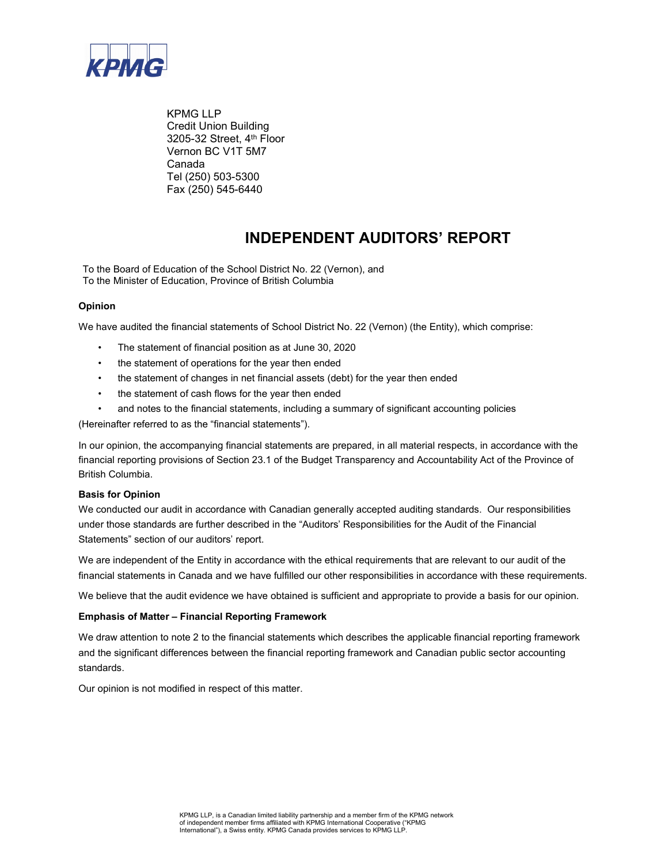

KPMG LLP Credit Union Building 3205-32 Street, 4th Floor Vernon BC V1T 5M7 Canada Tel (250) 503-5300 Fax (250) 545-6440

#### **INDEPENDENT AUDITORS' REPORT**

To the Board of Education of the School District No. 22 (Vernon), and To the Minister of Education, Province of British Columbia

#### **Opinion**

We have audited the financial statements of School District No. 22 (Vernon) (the Entity), which comprise:

- The statement of financial position as at June 30, 2020
- the statement of operations for the year then ended
- the statement of changes in net financial assets (debt) for the year then ended
- the statement of cash flows for the year then ended
- and notes to the financial statements, including a summary of significant accounting policies

(Hereinafter referred to as the "financial statements").

In our opinion, the accompanying financial statements are prepared, in all material respects, in accordance with the financial reporting provisions of Section 23.1 of the Budget Transparency and Accountability Act of the Province of British Columbia.

#### **Basis for Opinion**

We conducted our audit in accordance with Canadian generally accepted auditing standards. Our responsibilities under those standards are further described in the "Auditors' Responsibilities for the Audit of the Financial Statements" section of our auditors' report.

We are independent of the Entity in accordance with the ethical requirements that are relevant to our audit of the financial statements in Canada and we have fulfilled our other responsibilities in accordance with these requirements.

We believe that the audit evidence we have obtained is sufficient and appropriate to provide a basis for our opinion.

#### **Emphasis of Matter – Financial Reporting Framework**

We draw attention to note 2 to the financial statements which describes the applicable financial reporting framework and the significant differences between the financial reporting framework and Canadian public sector accounting standards.

Our opinion is not modified in respect of this matter.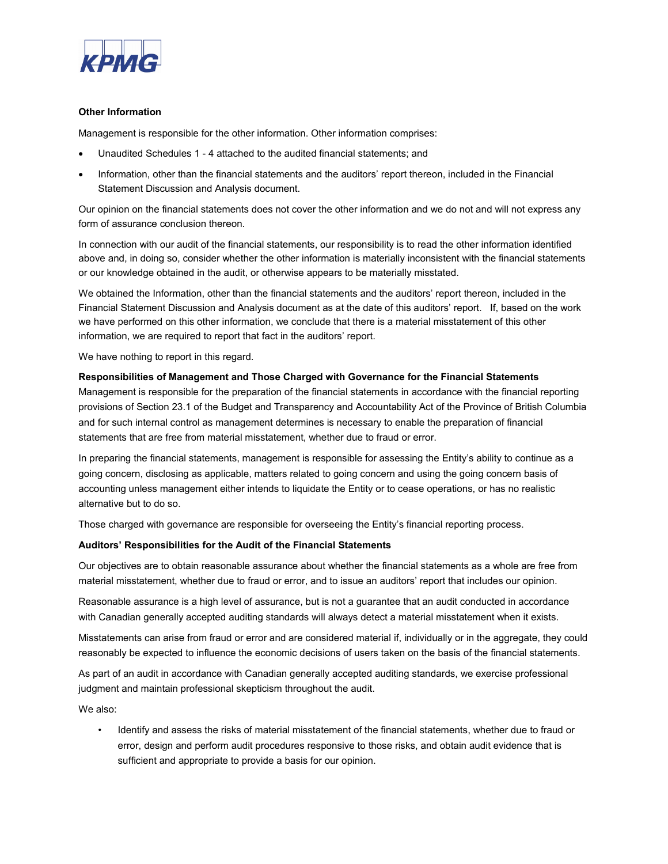

#### **Other Information**

Management is responsible for the other information. Other information comprises:

- Unaudited Schedules 1 4 attached to the audited financial statements; and
- Information, other than the financial statements and the auditors' report thereon, included in the Financial Statement Discussion and Analysis document.

Our opinion on the financial statements does not cover the other information and we do not and will not express any form of assurance conclusion thereon.

In connection with our audit of the financial statements, our responsibility is to read the other information identified above and, in doing so, consider whether the other information is materially inconsistent with the financial statements or our knowledge obtained in the audit, or otherwise appears to be materially misstated.

We obtained the Information, other than the financial statements and the auditors' report thereon, included in the Financial Statement Discussion and Analysis document as at the date of this auditors' report. If, based on the work we have performed on this other information, we conclude that there is a material misstatement of this other information, we are required to report that fact in the auditors' report.

We have nothing to report in this regard.

#### **Responsibilities of Management and Those Charged with Governance for the Financial Statements**

Management is responsible for the preparation of the financial statements in accordance with the financial reporting provisions of Section 23.1 of the Budget and Transparency and Accountability Act of the Province of British Columbia and for such internal control as management determines is necessary to enable the preparation of financial statements that are free from material misstatement, whether due to fraud or error.

In preparing the financial statements, management is responsible for assessing the Entity's ability to continue as a going concern, disclosing as applicable, matters related to going concern and using the going concern basis of accounting unless management either intends to liquidate the Entity or to cease operations, or has no realistic alternative but to do so.

Those charged with governance are responsible for overseeing the Entity's financial reporting process.

#### **Auditors' Responsibilities for the Audit of the Financial Statements**

Our objectives are to obtain reasonable assurance about whether the financial statements as a whole are free from material misstatement, whether due to fraud or error, and to issue an auditors' report that includes our opinion.

Reasonable assurance is a high level of assurance, but is not a guarantee that an audit conducted in accordance with Canadian generally accepted auditing standards will always detect a material misstatement when it exists.

Misstatements can arise from fraud or error and are considered material if, individually or in the aggregate, they could reasonably be expected to influence the economic decisions of users taken on the basis of the financial statements.

As part of an audit in accordance with Canadian generally accepted auditing standards, we exercise professional judgment and maintain professional skepticism throughout the audit.

We also:

• Identify and assess the risks of material misstatement of the financial statements, whether due to fraud or error, design and perform audit procedures responsive to those risks, and obtain audit evidence that is sufficient and appropriate to provide a basis for our opinion.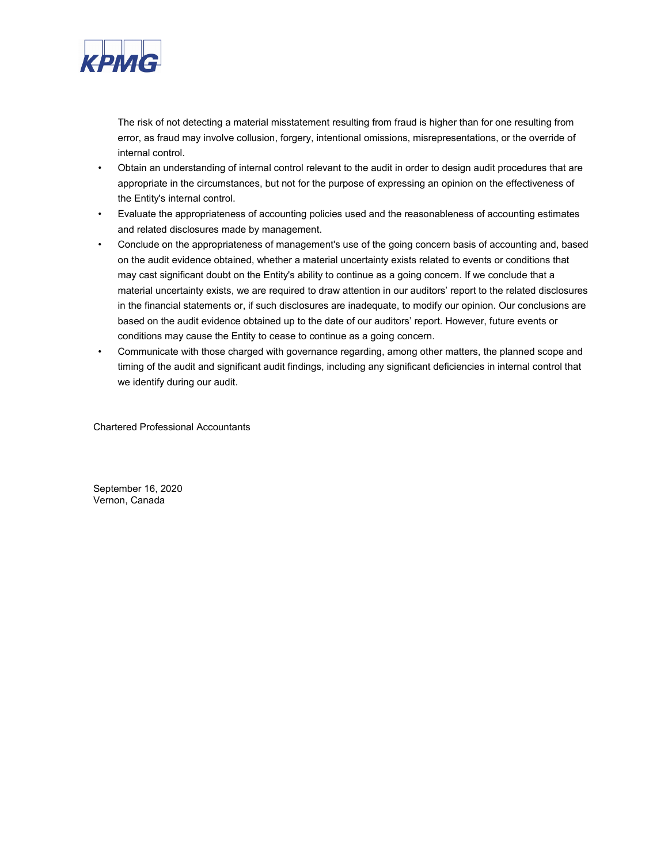

The risk of not detecting a material misstatement resulting from fraud is higher than for one resulting from error, as fraud may involve collusion, forgery, intentional omissions, misrepresentations, or the override of internal control.

- Obtain an understanding of internal control relevant to the audit in order to design audit procedures that are appropriate in the circumstances, but not for the purpose of expressing an opinion on the effectiveness of the Entity's internal control.
- Evaluate the appropriateness of accounting policies used and the reasonableness of accounting estimates and related disclosures made by management.
- Conclude on the appropriateness of management's use of the going concern basis of accounting and, based on the audit evidence obtained, whether a material uncertainty exists related to events or conditions that may cast significant doubt on the Entity's ability to continue as a going concern. If we conclude that a material uncertainty exists, we are required to draw attention in our auditors' report to the related disclosures in the financial statements or, if such disclosures are inadequate, to modify our opinion. Our conclusions are based on the audit evidence obtained up to the date of our auditors' report. However, future events or conditions may cause the Entity to cease to continue as a going concern.
- Communicate with those charged with governance regarding, among other matters, the planned scope and timing of the audit and significant audit findings, including any significant deficiencies in internal control that we identify during our audit.

Chartered Professional Accountants

September 16, 2020 Vernon, Canada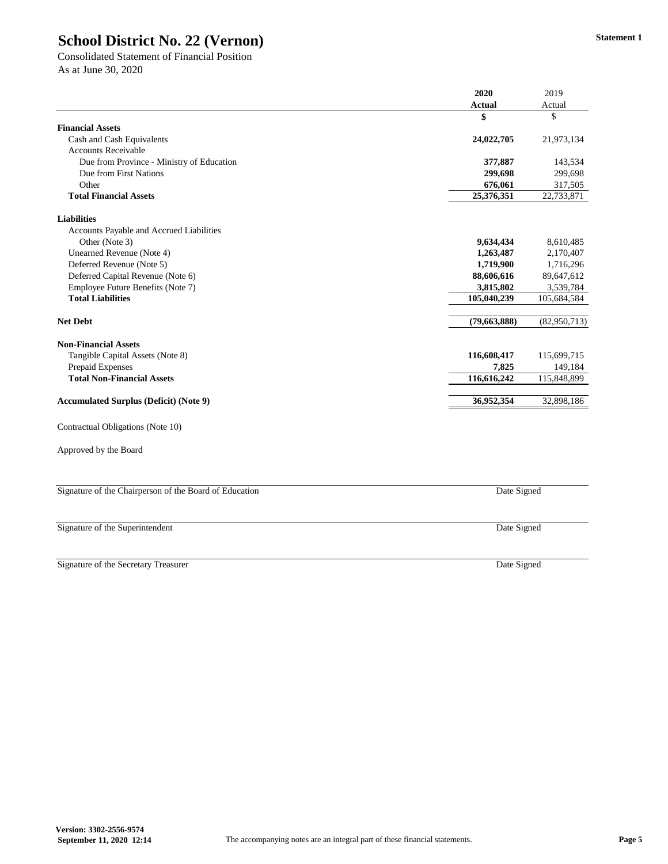|                                                        | 2020           | 2019         |
|--------------------------------------------------------|----------------|--------------|
|                                                        | <b>Actual</b>  | Actual       |
|                                                        | \$             | \$           |
| <b>Financial Assets</b>                                |                |              |
| Cash and Cash Equivalents                              | 24,022,705     | 21,973,134   |
| <b>Accounts Receivable</b>                             |                |              |
| Due from Province - Ministry of Education              | 377,887        | 143,534      |
| Due from First Nations                                 | 299,698        | 299,698      |
| Other                                                  | 676,061        | 317,505      |
| <b>Total Financial Assets</b>                          | 25,376,351     | 22,733,871   |
| <b>Liabilities</b>                                     |                |              |
| Accounts Payable and Accrued Liabilities               |                |              |
| Other (Note 3)                                         | 9,634,434      | 8,610,485    |
| <b>Unearned Revenue (Note 4)</b>                       | 1,263,487      | 2,170,407    |
| Deferred Revenue (Note 5)                              | 1,719,900      | 1,716,296    |
| Deferred Capital Revenue (Note 6)                      | 88,606,616     | 89,647,612   |
| Employee Future Benefits (Note 7)                      | 3,815,802      | 3,539,784    |
| <b>Total Liabilities</b>                               | 105,040,239    | 105,684,584  |
| <b>Net Debt</b>                                        | (79, 663, 888) | (82,950,713) |
| <b>Non-Financial Assets</b>                            |                |              |
| Tangible Capital Assets (Note 8)                       | 116,608,417    | 115,699,715  |
| Prepaid Expenses                                       | 7,825          | 149,184      |
| <b>Total Non-Financial Assets</b>                      | 116,616,242    | 115,848,899  |
| <b>Accumulated Surplus (Deficit) (Note 9)</b>          | 36,952,354     | 32,898,186   |
| Contractual Obligations (Note 10)                      |                |              |
| Approved by the Board                                  |                |              |
|                                                        |                |              |
| Signature of the Chairperson of the Board of Education | Date Signed    |              |

Signature of the Superintendent

Signature of the Secretary Treasurer

### **School District No. 22 (Vernon)**

Consolidated Statement of Financial Position As at June 30, 2020

Date Signed

Date Signed

**Version: 3302-2556-9574**

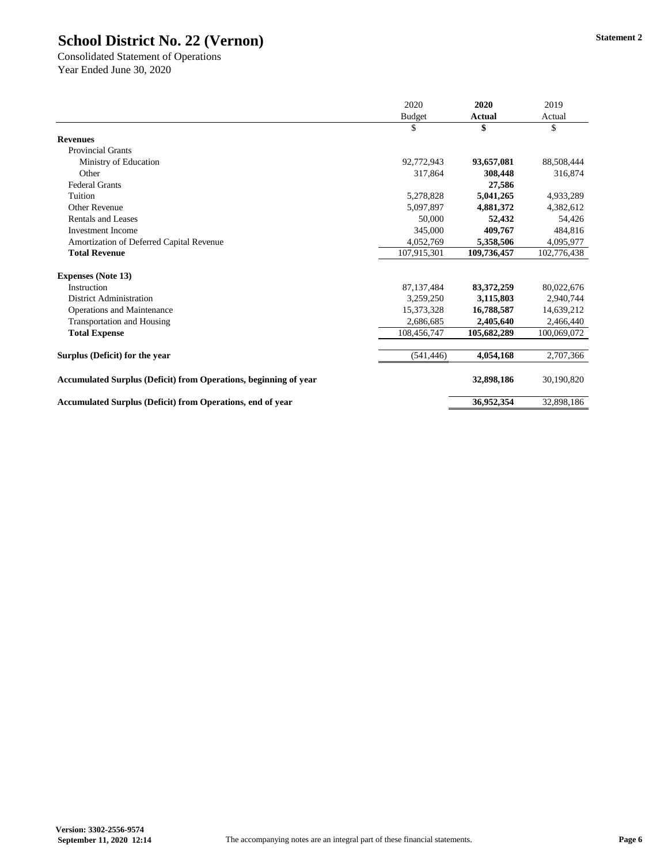|                                                                         | 2020          | 2020          | 2019        |
|-------------------------------------------------------------------------|---------------|---------------|-------------|
|                                                                         | <b>Budget</b> | <b>Actual</b> | Actual      |
|                                                                         | \$            | \$            | \$          |
| <b>Revenues</b>                                                         |               |               |             |
| <b>Provincial Grants</b>                                                |               |               |             |
| Ministry of Education                                                   | 92,772,943    | 93,657,081    | 88,508,444  |
| Other                                                                   | 317,864       | 308,448       | 316,874     |
| <b>Federal Grants</b>                                                   |               | 27,586        |             |
| Tuition                                                                 | 5,278,828     | 5,041,265     | 4,933,289   |
| <b>Other Revenue</b>                                                    | 5,097,897     | 4,881,372     | 4,382,612   |
| <b>Rentals and Leases</b>                                               | 50,000        | 52,432        | 54,426      |
| <b>Investment Income</b>                                                | 345,000       | 409,767       | 484,816     |
| Amortization of Deferred Capital Revenue                                | 4,052,769     | 5,358,506     | 4,095,977   |
| <b>Total Revenue</b>                                                    | 107,915,301   | 109,736,457   | 102,776,438 |
| <b>Expenses (Note 13)</b>                                               |               |               |             |
| Instruction                                                             | 87, 137, 484  | 83,372,259    | 80,022,676  |
| <b>District Administration</b>                                          | 3,259,250     | 3,115,803     | 2,940,744   |
| <b>Operations and Maintenance</b>                                       | 15,373,328    | 16,788,587    | 14,639,212  |
| <b>Transportation and Housing</b>                                       | 2,686,685     | 2,405,640     | 2,466,440   |
| <b>Total Expense</b>                                                    | 108,456,747   | 105,682,289   | 100,069,072 |
| Surplus (Deficit) for the year                                          | (541, 446)    | 4,054,168     | 2,707,366   |
| <b>Accumulated Surplus (Deficit) from Operations, beginning of year</b> |               | 32,898,186    | 30,190,820  |
| Accumulated Surplus (Deficit) from Operations, end of year              |               | 36,952,354    | 32,898,186  |

Consolidated Statement of Operations Year Ended June 30, 2020

**Version: 3302-2556-9574**

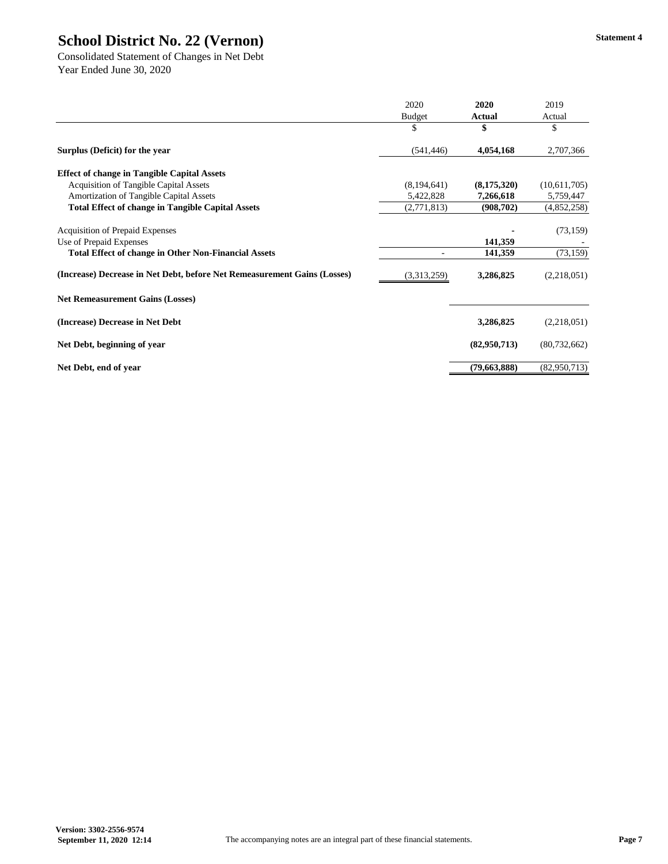|                                                                          | 2020          | 2020          | 2019           |
|--------------------------------------------------------------------------|---------------|---------------|----------------|
|                                                                          | <b>Budget</b> | <b>Actual</b> | Actual         |
|                                                                          | \$            |               | \$             |
| Surplus (Deficit) for the year                                           | (541, 446)    | 4,054,168     | 2,707,366      |
| <b>Effect of change in Tangible Capital Assets</b>                       |               |               |                |
| <b>Acquisition of Tangible Capital Assets</b>                            | (8,194,641)   | (8,175,320)   | (10,611,705)   |
| <b>Amortization of Tangible Capital Assets</b>                           | 5,422,828     | 7,266,618     | 5,759,447      |
| <b>Total Effect of change in Tangible Capital Assets</b>                 | (2,771,813)   | (908, 702)    | (4,852,258)    |
| <b>Acquisition of Prepaid Expenses</b>                                   |               |               | (73, 159)      |
| Use of Prepaid Expenses                                                  |               | 141,359       |                |
| <b>Total Effect of change in Other Non-Financial Assets</b>              |               | 141,359       | (73, 159)      |
| (Increase) Decrease in Net Debt, before Net Remeasurement Gains (Losses) | (3,313,259)   | 3,286,825     | (2,218,051)    |
| <b>Net Remeasurement Gains (Losses)</b>                                  |               |               |                |
| (Increase) Decrease in Net Debt                                          |               | 3,286,825     | (2,218,051)    |
| Net Debt, beginning of year                                              |               | (82,950,713)  | (80, 732, 662) |
| Net Debt, end of year                                                    |               | (79,663,888)  | (82,950,713)   |

Consolidated Statement of Changes in Net Debt Year Ended June 30, 2020

**Version: 3302-2556-9574**

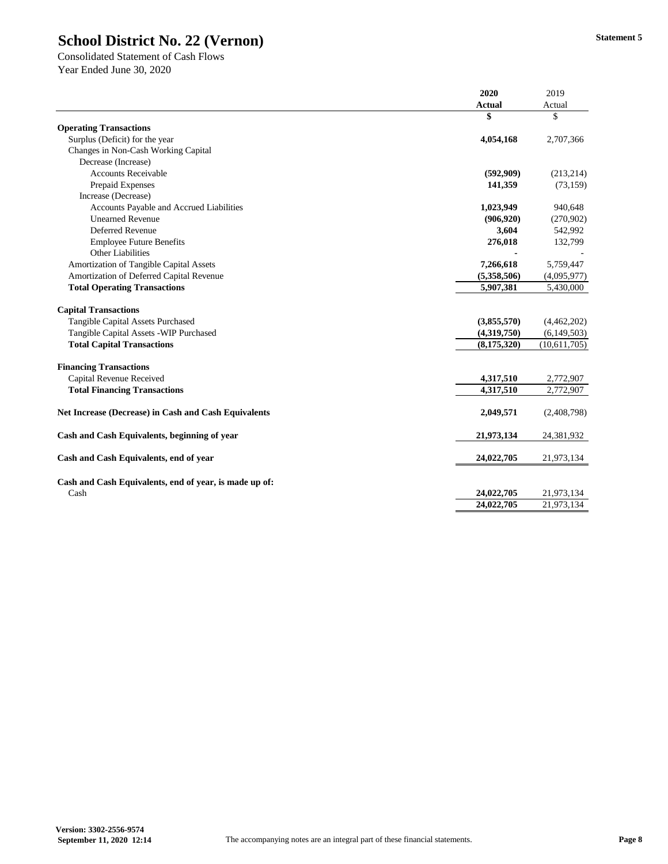| <b>Actual</b><br>\$<br>4,054,168<br>Surplus (Deficit) for the year<br>Changes in Non-Cash Working Capital<br>Decrease (Increase) | Actual<br>\$<br>2,707,366<br>(213, 214)<br>(73, 159) |
|----------------------------------------------------------------------------------------------------------------------------------|------------------------------------------------------|
|                                                                                                                                  |                                                      |
| <b>Operating Transactions</b>                                                                                                    |                                                      |
|                                                                                                                                  |                                                      |
|                                                                                                                                  |                                                      |
|                                                                                                                                  |                                                      |
|                                                                                                                                  |                                                      |
| <b>Accounts Receivable</b><br>(592,909)                                                                                          |                                                      |
| Prepaid Expenses<br>141,359                                                                                                      |                                                      |
| Increase (Decrease)                                                                                                              |                                                      |
| Accounts Payable and Accrued Liabilities<br>1,023,949                                                                            | 940,648                                              |
| <b>Unearned Revenue</b><br>(906, 920)                                                                                            | (270,902)                                            |
| Deferred Revenue<br>3,604                                                                                                        | 542,992                                              |
| 276,018<br><b>Employee Future Benefits</b>                                                                                       | 132,799                                              |
| <b>Other Liabilities</b>                                                                                                         |                                                      |
| Amortization of Tangible Capital Assets<br>7,266,618                                                                             | 5,759,447                                            |
| Amortization of Deferred Capital Revenue<br>(5,358,506)                                                                          | (4,095,977)                                          |
| <b>Total Operating Transactions</b><br>5,907,381                                                                                 | 5,430,000                                            |
| <b>Capital Transactions</b>                                                                                                      |                                                      |
| <b>Tangible Capital Assets Purchased</b><br>(3,855,570)                                                                          | (4,462,202)                                          |
| Tangible Capital Assets - WIP Purchased<br>(4,319,750)                                                                           | (6, 149, 503)                                        |
| <b>Total Capital Transactions</b><br>(8, 175, 320)                                                                               | (10,611,705)                                         |
|                                                                                                                                  |                                                      |
| <b>Financing Transactions</b>                                                                                                    |                                                      |
| Capital Revenue Received<br>4,317,510                                                                                            | 2,772,907                                            |
| <b>Total Financing Transactions</b><br>4,317,510                                                                                 | 2,772,907                                            |
| 2,049,571<br><b>Net Increase (Decrease) in Cash and Cash Equivalents</b>                                                         | (2,408,798)                                          |
|                                                                                                                                  |                                                      |
| Cash and Cash Equivalents, beginning of year<br>21,973,134                                                                       | 24,381,932                                           |
| Cash and Cash Equivalents, end of year<br>24,022,705                                                                             | 21,973,134                                           |
| Cash and Cash Equivalents, end of year, is made up of:                                                                           |                                                      |
| 24,022,705<br>Cash                                                                                                               | 21,973,134                                           |
| 24,022,705                                                                                                                       | 21,973,134                                           |

Consolidated Statement of Cash Flows Year Ended June 30, 2020

**Version: 3302-2556-9574**

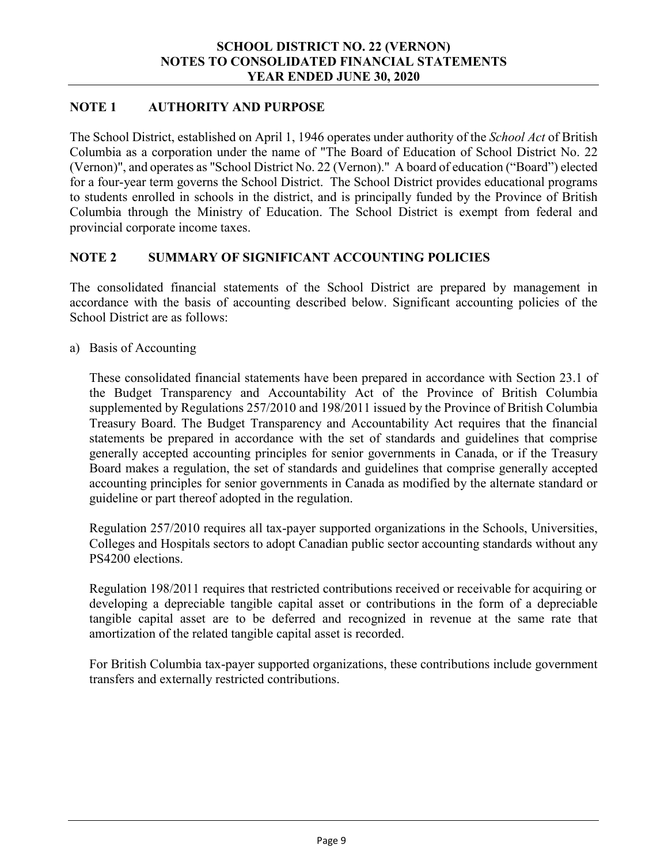#### **NOTE 1 AUTHORITY AND PURPOSE**

The School District, established on April 1, 1946 operates under authority of the *School Act* of British Columbia as a corporation under the name of "The Board of Education of School District No. 22 (Vernon)", and operates as "School District No. 22 (Vernon)." A board of education ("Board") elected for a four-year term governs the School District. The School District provides educational programs to students enrolled in schools in the district, and is principally funded by the Province of British Columbia through the Ministry of Education. The School District is exempt from federal and provincial corporate income taxes.

#### **NOTE 2 SUMMARY OF SIGNIFICANT ACCOUNTING POLICIES**

The consolidated financial statements of the School District are prepared by management in accordance with the basis of accounting described below. Significant accounting policies of the School District are as follows:

a) Basis of Accounting

These consolidated financial statements have been prepared in accordance with Section 23.1 of the Budget Transparency and Accountability Act of the Province of British Columbia supplemented by Regulations 257/2010 and 198/2011 issued by the Province of British Columbia Treasury Board. The Budget Transparency and Accountability Act requires that the financial statements be prepared in accordance with the set of standards and guidelines that comprise generally accepted accounting principles for senior governments in Canada, or if the Treasury Board makes a regulation, the set of standards and guidelines that comprise generally accepted accounting principles for senior governments in Canada as modified by the alternate standard or guideline or part thereof adopted in the regulation.

Regulation 257/2010 requires all tax-payer supported organizations in the Schools, Universities, Colleges and Hospitals sectors to adopt Canadian public sector accounting standards without any PS4200 elections.

Regulation 198/2011 requires that restricted contributions received or receivable for acquiring or developing a depreciable tangible capital asset or contributions in the form of a depreciable tangible capital asset are to be deferred and recognized in revenue at the same rate that amortization of the related tangible capital asset is recorded.

For British Columbia tax-payer supported organizations, these contributions include government transfers and externally restricted contributions.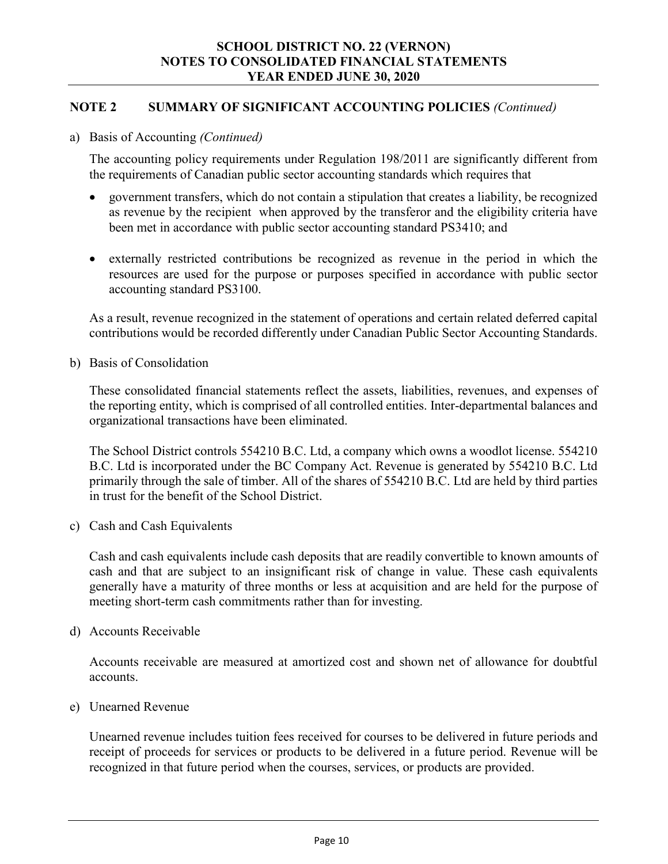#### **NOTE 2 SUMMARY OF SIGNIFICANT ACCOUNTING POLICIES** *(Continued)*

#### a) Basis of Accounting *(Continued)*

The accounting policy requirements under Regulation 198/2011 are significantly different from the requirements of Canadian public sector accounting standards which requires that

- government transfers, which do not contain a stipulation that creates a liability, be recognized as revenue by the recipient when approved by the transferor and the eligibility criteria have been met in accordance with public sector accounting standard PS3410; and
- externally restricted contributions be recognized as revenue in the period in which the resources are used for the purpose or purposes specified in accordance with public sector accounting standard PS3100.

As a result, revenue recognized in the statement of operations and certain related deferred capital contributions would be recorded differently under Canadian Public Sector Accounting Standards.

b) Basis of Consolidation

These consolidated financial statements reflect the assets, liabilities, revenues, and expenses of the reporting entity, which is comprised of all controlled entities. Inter-departmental balances and organizational transactions have been eliminated.

The School District controls 554210 B.C. Ltd, a company which owns a woodlot license. 554210 B.C. Ltd is incorporated under the BC Company Act. Revenue is generated by 554210 B.C. Ltd primarily through the sale of timber. All of the shares of 554210 B.C. Ltd are held by third parties in trust for the benefit of the School District.

c) Cash and Cash Equivalents

Cash and cash equivalents include cash deposits that are readily convertible to known amounts of cash and that are subject to an insignificant risk of change in value. These cash equivalents generally have a maturity of three months or less at acquisition and are held for the purpose of meeting short-term cash commitments rather than for investing.

d) Accounts Receivable

Accounts receivable are measured at amortized cost and shown net of allowance for doubtful accounts.

e) Unearned Revenue

Unearned revenue includes tuition fees received for courses to be delivered in future periods and receipt of proceeds for services or products to be delivered in a future period. Revenue will be recognized in that future period when the courses, services, or products are provided.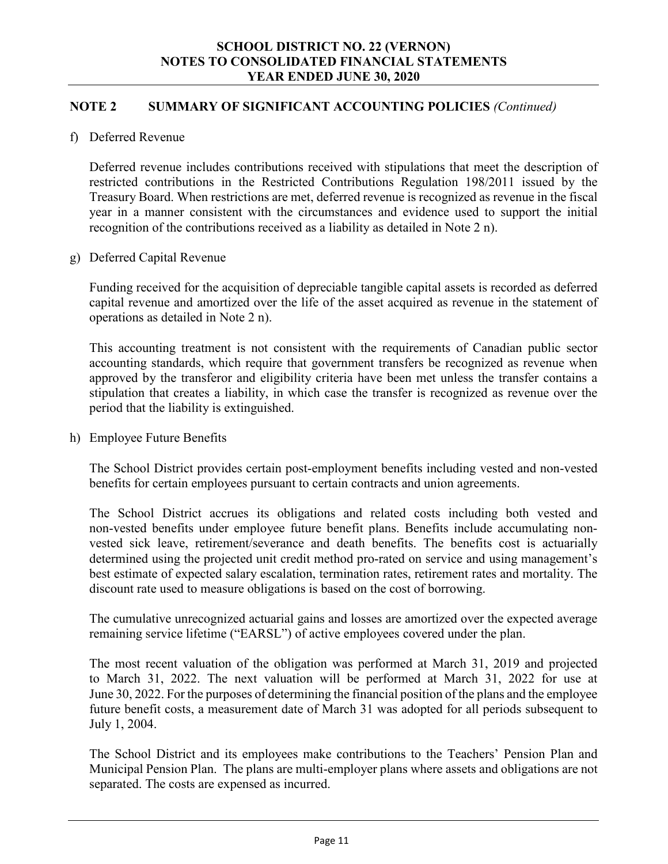#### **NOTE 2 SUMMARY OF SIGNIFICANT ACCOUNTING POLICIES** *(Continued)*

f) Deferred Revenue

Deferred revenue includes contributions received with stipulations that meet the description of restricted contributions in the Restricted Contributions Regulation 198/2011 issued by the Treasury Board. When restrictions are met, deferred revenue is recognized as revenue in the fiscal year in a manner consistent with the circumstances and evidence used to support the initial recognition of the contributions received as a liability as detailed in Note 2 n).

#### g) Deferred Capital Revenue

Funding received for the acquisition of depreciable tangible capital assets is recorded as deferred capital revenue and amortized over the life of the asset acquired as revenue in the statement of operations as detailed in Note 2 n).

This accounting treatment is not consistent with the requirements of Canadian public sector accounting standards, which require that government transfers be recognized as revenue when approved by the transferor and eligibility criteria have been met unless the transfer contains a stipulation that creates a liability, in which case the transfer is recognized as revenue over the period that the liability is extinguished.

h) Employee Future Benefits

The School District provides certain post-employment benefits including vested and non-vested benefits for certain employees pursuant to certain contracts and union agreements.

The School District accrues its obligations and related costs including both vested and non-vested benefits under employee future benefit plans. Benefits include accumulating nonvested sick leave, retirement/severance and death benefits. The benefits cost is actuarially determined using the projected unit credit method pro-rated on service and using management's best estimate of expected salary escalation, termination rates, retirement rates and mortality. The discount rate used to measure obligations is based on the cost of borrowing.

The cumulative unrecognized actuarial gains and losses are amortized over the expected average remaining service lifetime ("EARSL") of active employees covered under the plan.

The most recent valuation of the obligation was performed at March 31, 2019 and projected to March 31, 2022. The next valuation will be performed at March 31, 2022 for use at June 30, 2022. For the purposes of determining the financial position of the plans and the employee future benefit costs, a measurement date of March 31 was adopted for all periods subsequent to July 1, 2004.

The School District and its employees make contributions to the Teachers' Pension Plan and Municipal Pension Plan. The plans are multi-employer plans where assets and obligations are not separated. The costs are expensed as incurred.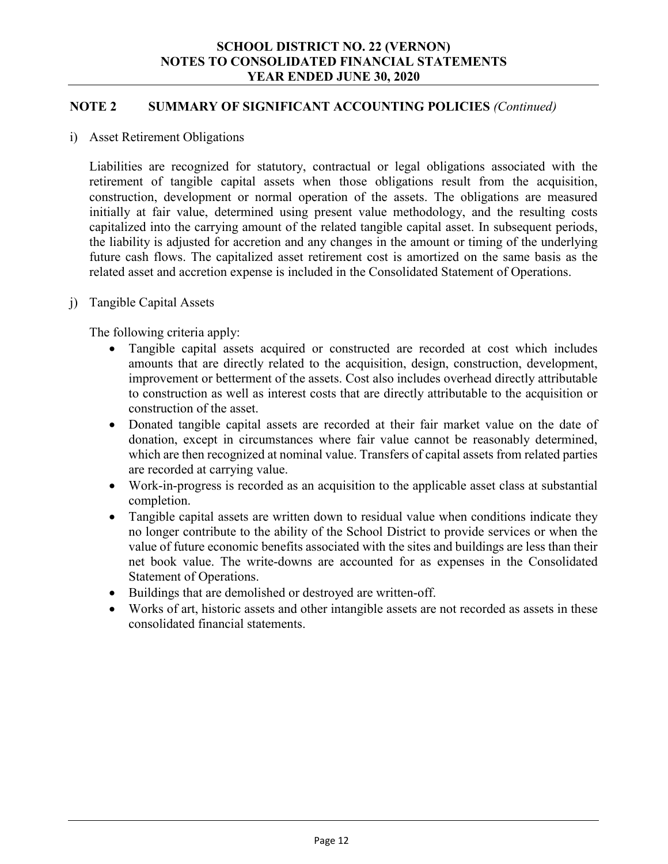#### **NOTE 2 SUMMARY OF SIGNIFICANT ACCOUNTING POLICIES** *(Continued)*

i) Asset Retirement Obligations

Liabilities are recognized for statutory, contractual or legal obligations associated with the retirement of tangible capital assets when those obligations result from the acquisition, construction, development or normal operation of the assets. The obligations are measured initially at fair value, determined using present value methodology, and the resulting costs capitalized into the carrying amount of the related tangible capital asset. In subsequent periods, the liability is adjusted for accretion and any changes in the amount or timing of the underlying future cash flows. The capitalized asset retirement cost is amortized on the same basis as the related asset and accretion expense is included in the Consolidated Statement of Operations.

j) Tangible Capital Assets

The following criteria apply:

- Tangible capital assets acquired or constructed are recorded at cost which includes amounts that are directly related to the acquisition, design, construction, development, improvement or betterment of the assets. Cost also includes overhead directly attributable to construction as well as interest costs that are directly attributable to the acquisition or construction of the asset.
- Donated tangible capital assets are recorded at their fair market value on the date of donation, except in circumstances where fair value cannot be reasonably determined, which are then recognized at nominal value. Transfers of capital assets from related parties are recorded at carrying value.
- Work-in-progress is recorded as an acquisition to the applicable asset class at substantial completion.
- Tangible capital assets are written down to residual value when conditions indicate they no longer contribute to the ability of the School District to provide services or when the value of future economic benefits associated with the sites and buildings are less than their net book value. The write-downs are accounted for as expenses in the Consolidated Statement of Operations.
- Buildings that are demolished or destroyed are written-off.
- Works of art, historic assets and other intangible assets are not recorded as assets in these consolidated financial statements.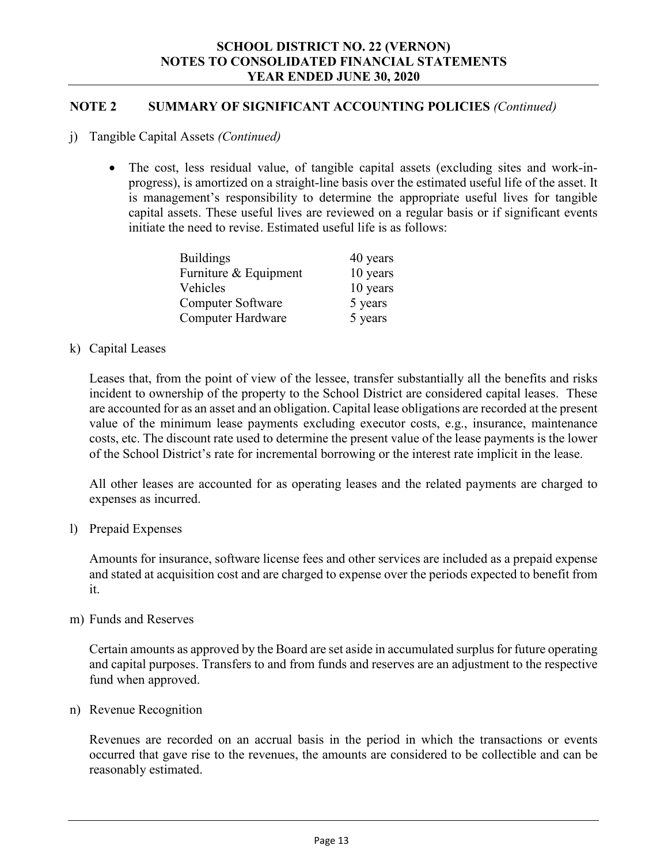#### **NOTE 2 SUMMARY OF SIGNIFICANT ACCOUNTING POLICIES** *(Continued)*

- j) Tangible Capital Assets *(Continued)*
	- The cost, less residual value, of tangible capital assets (excluding sites and work-inprogress), is amortized on a straight-line basis over the estimated useful life of the asset. It is management's responsibility to determine the appropriate useful lives for tangible capital assets. These useful lives are reviewed on a regular basis or if significant events initiate the need to revise. Estimated useful life is as follows:

| <b>Buildings</b>         | 40 years |
|--------------------------|----------|
| Furniture & Equipment    | 10 years |
| Vehicles                 | 10 years |
| <b>Computer Software</b> | 5 years  |
| <b>Computer Hardware</b> | 5 years  |

#### k) Capital Leases

Leases that, from the point of view of the lessee, transfer substantially all the benefits and risks incident to ownership of the property to the School District are considered capital leases. These are accounted for as an asset and an obligation. Capital lease obligations are recorded at the present value of the minimum lease payments excluding executor costs, e.g., insurance, maintenance costs, etc. The discount rate used to determine the present value of the lease payments is the lower of the School District's rate for incremental borrowing or the interest rate implicit in the lease.

All other leases are accounted for as operating leases and the related payments are charged to expenses as incurred.

#### l) Prepaid Expenses

Amounts for insurance, software license fees and other services are included as a prepaid expense and stated at acquisition cost and are charged to expense over the periods expected to benefit from it.

#### m) Funds and Reserves

Certain amounts as approved by the Board are set aside in accumulated surplus for future operating and capital purposes. Transfers to and from funds and reserves are an adjustment to the respective fund when approved.

#### n) Revenue Recognition

Revenues are recorded on an accrual basis in the period in which the transactions or events occurred that gave rise to the revenues, the amounts are considered to be collectible and can be reasonably estimated.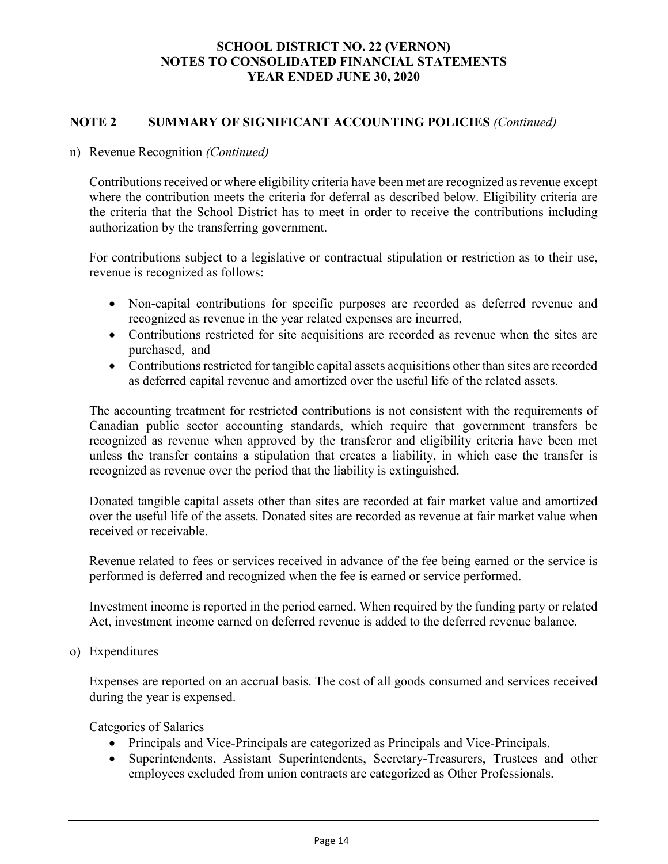#### **NOTE 2 SUMMARY OF SIGNIFICANT ACCOUNTING POLICIES** *(Continued)*

#### n) Revenue Recognition *(Continued)*

Contributions received or where eligibility criteria have been met are recognized as revenue except where the contribution meets the criteria for deferral as described below. Eligibility criteria are the criteria that the School District has to meet in order to receive the contributions including authorization by the transferring government.

For contributions subject to a legislative or contractual stipulation or restriction as to their use, revenue is recognized as follows:

- Non-capital contributions for specific purposes are recorded as deferred revenue and recognized as revenue in the year related expenses are incurred,
- Contributions restricted for site acquisitions are recorded as revenue when the sites are purchased, and
- Contributions restricted for tangible capital assets acquisitions other than sites are recorded as deferred capital revenue and amortized over the useful life of the related assets.

The accounting treatment for restricted contributions is not consistent with the requirements of Canadian public sector accounting standards, which require that government transfers be recognized as revenue when approved by the transferor and eligibility criteria have been met unless the transfer contains a stipulation that creates a liability, in which case the transfer is recognized as revenue over the period that the liability is extinguished.

Donated tangible capital assets other than sites are recorded at fair market value and amortized over the useful life of the assets. Donated sites are recorded as revenue at fair market value when received or receivable.

Revenue related to fees or services received in advance of the fee being earned or the service is performed is deferred and recognized when the fee is earned or service performed.

Investment income is reported in the period earned. When required by the funding party or related Act, investment income earned on deferred revenue is added to the deferred revenue balance.

o) Expenditures

Expenses are reported on an accrual basis. The cost of all goods consumed and services received during the year is expensed.

Categories of Salaries

- Principals and Vice-Principals are categorized as Principals and Vice-Principals.
- Superintendents, Assistant Superintendents, Secretary-Treasurers, Trustees and other employees excluded from union contracts are categorized as Other Professionals.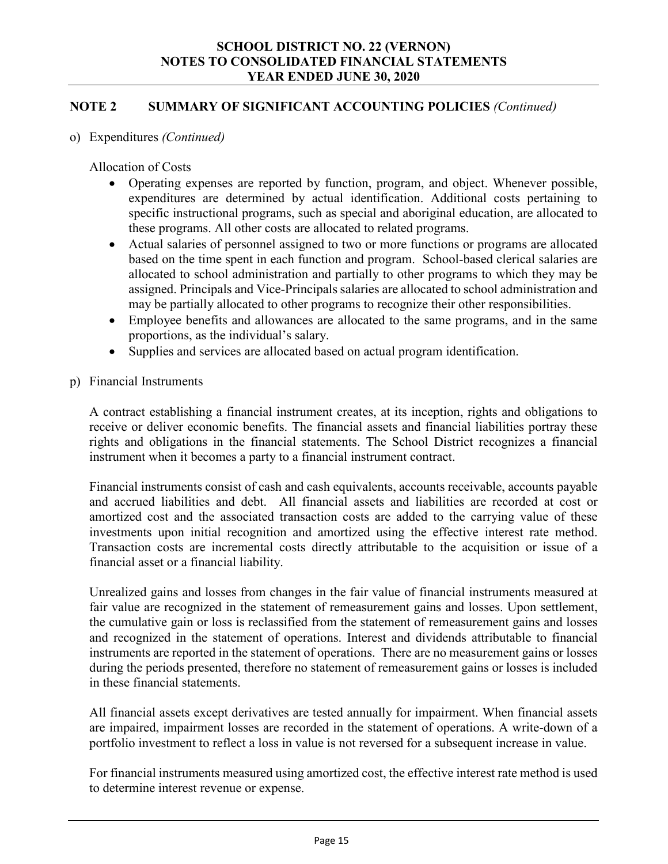#### **NOTE 2 SUMMARY OF SIGNIFICANT ACCOUNTING POLICIES** *(Continued)*

#### o) Expenditures *(Continued)*

Allocation of Costs

- Operating expenses are reported by function, program, and object. Whenever possible, expenditures are determined by actual identification. Additional costs pertaining to specific instructional programs, such as special and aboriginal education, are allocated to these programs. All other costs are allocated to related programs.
- Actual salaries of personnel assigned to two or more functions or programs are allocated based on the time spent in each function and program. School-based clerical salaries are allocated to school administration and partially to other programs to which they may be assigned. Principals and Vice-Principals salaries are allocated to school administration and may be partially allocated to other programs to recognize their other responsibilities.
- Employee benefits and allowances are allocated to the same programs, and in the same proportions, as the individual's salary.
- Supplies and services are allocated based on actual program identification.
- p) Financial Instruments

A contract establishing a financial instrument creates, at its inception, rights and obligations to receive or deliver economic benefits. The financial assets and financial liabilities portray these rights and obligations in the financial statements. The School District recognizes a financial instrument when it becomes a party to a financial instrument contract.

Financial instruments consist of cash and cash equivalents, accounts receivable, accounts payable and accrued liabilities and debt. All financial assets and liabilities are recorded at cost or amortized cost and the associated transaction costs are added to the carrying value of these investments upon initial recognition and amortized using the effective interest rate method. Transaction costs are incremental costs directly attributable to the acquisition or issue of a financial asset or a financial liability.

Unrealized gains and losses from changes in the fair value of financial instruments measured at fair value are recognized in the statement of remeasurement gains and losses. Upon settlement, the cumulative gain or loss is reclassified from the statement of remeasurement gains and losses and recognized in the statement of operations. Interest and dividends attributable to financial instruments are reported in the statement of operations. There are no measurement gains or losses during the periods presented, therefore no statement of remeasurement gains or losses is included in these financial statements.

All financial assets except derivatives are tested annually for impairment. When financial assets are impaired, impairment losses are recorded in the statement of operations. A write-down of a portfolio investment to reflect a loss in value is not reversed for a subsequent increase in value.

For financial instruments measured using amortized cost, the effective interest rate method is used to determine interest revenue or expense.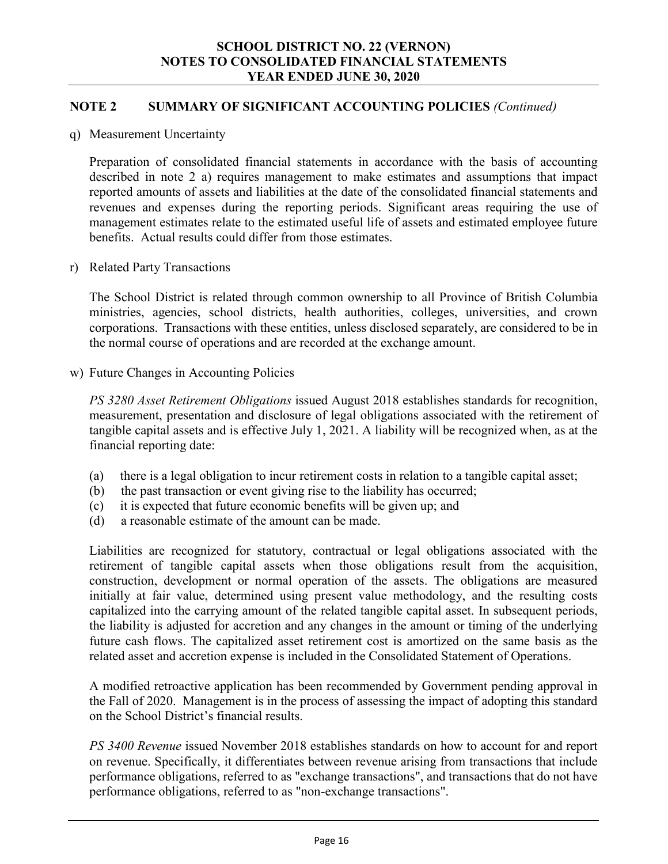#### **NOTE 2 SUMMARY OF SIGNIFICANT ACCOUNTING POLICIES** *(Continued)*

q) Measurement Uncertainty

Preparation of consolidated financial statements in accordance with the basis of accounting described in note 2 a) requires management to make estimates and assumptions that impact reported amounts of assets and liabilities at the date of the consolidated financial statements and revenues and expenses during the reporting periods. Significant areas requiring the use of management estimates relate to the estimated useful life of assets and estimated employee future benefits. Actual results could differ from those estimates.

r) Related Party Transactions

The School District is related through common ownership to all Province of British Columbia ministries, agencies, school districts, health authorities, colleges, universities, and crown corporations. Transactions with these entities, unless disclosed separately, are considered to be in the normal course of operations and are recorded at the exchange amount.

w) Future Changes in Accounting Policies

*PS 3280 Asset Retirement Obligations* issued August 2018 establishes standards for recognition, measurement, presentation and disclosure of legal obligations associated with the retirement of tangible capital assets and is effective July 1, 2021. A liability will be recognized when, as at the financial reporting date:

- (a) there is a legal obligation to incur retirement costs in relation to a tangible capital asset;
- (b) the past transaction or event giving rise to the liability has occurred;
- (c) it is expected that future economic benefits will be given up; and
- (d) a reasonable estimate of the amount can be made.

Liabilities are recognized for statutory, contractual or legal obligations associated with the retirement of tangible capital assets when those obligations result from the acquisition, construction, development or normal operation of the assets. The obligations are measured initially at fair value, determined using present value methodology, and the resulting costs capitalized into the carrying amount of the related tangible capital asset. In subsequent periods, the liability is adjusted for accretion and any changes in the amount or timing of the underlying future cash flows. The capitalized asset retirement cost is amortized on the same basis as the related asset and accretion expense is included in the Consolidated Statement of Operations.

A modified retroactive application has been recommended by Government pending approval in the Fall of 2020. Management is in the process of assessing the impact of adopting this standard on the School District's financial results.

*PS 3400 Revenue* issued November 2018 establishes standards on how to account for and report on revenue. Specifically, it differentiates between revenue arising from transactions that include performance obligations, referred to as "exchange transactions", and transactions that do not have performance obligations, referred to as "non-exchange transactions".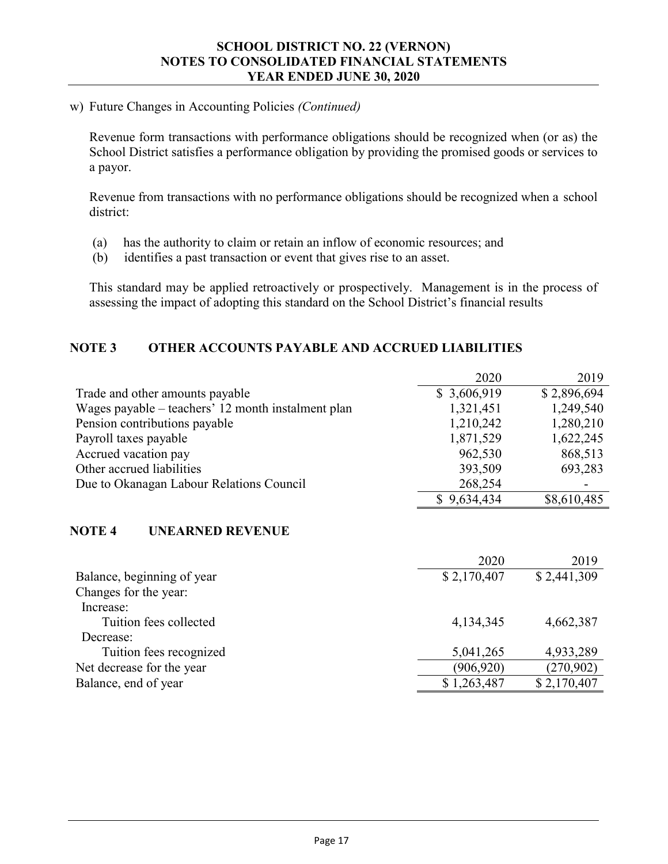#### w) Future Changes in Accounting Policies *(Continued)*

Revenue form transactions with performance obligations should be recognized when (or as) the School District satisfies a performance obligation by providing the promised goods or services to a payor.

Revenue from transactions with no performance obligations should be recognized when a school district:

- (a) has the authority to claim or retain an inflow of economic resources; and
- (b) identifies a past transaction or event that gives rise to an asset.

This standard may be applied retroactively or prospectively. Management is in the process of assessing the impact of adopting this standard on the School District's financial results

#### **NOTE 3 OTHER ACCOUNTS PAYABLE AND ACCRUED LIABILITIES**

|                                                    | 2020        | 2019        |
|----------------------------------------------------|-------------|-------------|
| Trade and other amounts payable                    | \$3,606,919 | \$2,896,694 |
| Wages payable – teachers' 12 month instalment plan | 1,321,451   | 1,249,540   |
| Pension contributions payable                      | 1,210,242   | 1,280,210   |
| Payroll taxes payable                              | 1,871,529   | 1,622,245   |
| Accrued vacation pay                               | 962,530     | 868,513     |
| Other accrued liabilities                          | 393,509     | 693,283     |
| Due to Okanagan Labour Relations Council           | 268,254     |             |
|                                                    | \$9,634,434 | \$8,610,485 |

#### **NOTE 4 UNEARNED REVENUE**

|                            | 2020        | 2019        |
|----------------------------|-------------|-------------|
| Balance, beginning of year | \$2,170,407 | \$2,441,309 |
| Changes for the year:      |             |             |
| Increase:                  |             |             |
| Tuition fees collected     | 4,134,345   | 4,662,387   |
| Decrease:                  |             |             |
| Tuition fees recognized    | 5,041,265   | 4,933,289   |
| Net decrease for the year  | (906, 920)  | (270, 902)  |
| Balance, end of year       | \$1,263,487 | \$2,170,407 |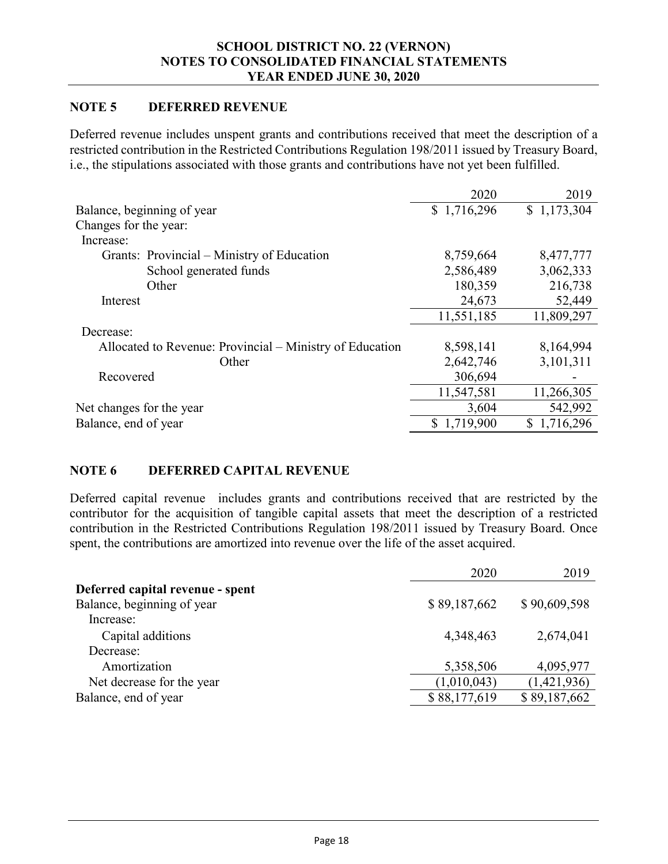#### **NOTE 5 DEFERRED REVENUE**

Deferred revenue includes unspent grants and contributions received that meet the description of a restricted contribution in the Restricted Contributions Regulation 198/2011 issued by Treasury Board, i.e., the stipulations associated with those grants and contributions have not yet been fulfilled.

|                                                          | 2020        | 2019        |
|----------------------------------------------------------|-------------|-------------|
| Balance, beginning of year                               | \$1,716,296 | \$1,173,304 |
| Changes for the year:                                    |             |             |
| Increase:                                                |             |             |
| Grants: Provincial – Ministry of Education               | 8,759,664   | 8,477,777   |
| School generated funds                                   | 2,586,489   | 3,062,333   |
| Other                                                    | 180,359     | 216,738     |
| Interest                                                 | 24,673      | 52,449      |
|                                                          | 11,551,185  | 11,809,297  |
| Decrease:                                                |             |             |
| Allocated to Revenue: Provincial – Ministry of Education | 8,598,141   | 8,164,994   |
| Other                                                    | 2,642,746   | 3,101,311   |
| Recovered                                                | 306,694     |             |
|                                                          | 11,547,581  | 11,266,305  |
| Net changes for the year                                 | 3,604       | 542,992     |
| Balance, end of year                                     | \$1,719,900 | \$1,716,296 |
|                                                          |             |             |

#### **NOTE 6 DEFERRED CAPITAL REVENUE**

Deferred capital revenue includes grants and contributions received that are restricted by the contributor for the acquisition of tangible capital assets that meet the description of a restricted contribution in the Restricted Contributions Regulation 198/2011 issued by Treasury Board. Once spent, the contributions are amortized into revenue over the life of the asset acquired.

| 2020                                       | 2019         |
|--------------------------------------------|--------------|
| Deferred capital revenue - spent           |              |
| Balance, beginning of year<br>\$89,187,662 | \$90,609,598 |
| Increase:                                  |              |
| Capital additions<br>4,348,463             | 2,674,041    |
| Decrease:                                  |              |
| Amortization<br>5,358,506                  | 4,095,977    |
| (1,010,043)<br>Net decrease for the year   | (1,421,936)  |
| \$88,177,619<br>Balance, end of year       | \$89,187,662 |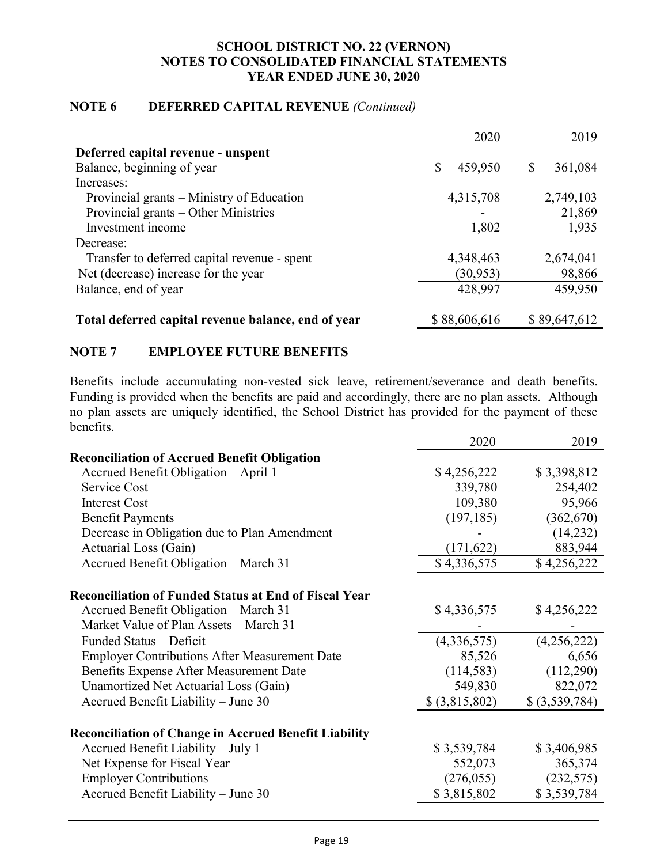#### **NOTE 6 DEFERRED CAPITAL REVENUE** *(Continued)*

|                                                     | 2020          | 2019          |
|-----------------------------------------------------|---------------|---------------|
| Deferred capital revenue - unspent                  |               |               |
| Balance, beginning of year                          | \$<br>459,950 | \$<br>361,084 |
| Increases:                                          |               |               |
| Provincial grants – Ministry of Education           | 4,315,708     | 2,749,103     |
| Provincial grants – Other Ministries                |               | 21,869        |
| Investment income                                   | 1,802         | 1,935         |
| Decrease:                                           |               |               |
| Transfer to deferred capital revenue - spent        | 4,348,463     | 2,674,041     |
| Net (decrease) increase for the year                | (30, 953)     | 98,866        |
| Balance, end of year                                | 428,997       | 459,950       |
|                                                     |               |               |
| Total deferred capital revenue balance, end of year | \$88,606,616  | \$89,647,612  |

#### **NOTE 7 EMPLOYEE FUTURE BENEFITS**

Benefits include accumulating non-vested sick leave, retirement/severance and death benefits. Funding is provided when the benefits are paid and accordingly, there are no plan assets. Although no plan assets are uniquely identified, the School District has provided for the payment of these benefits.

| <b>Reconciliation of Accrued Benefit Obligation</b>                    | \$3,398,812 |
|------------------------------------------------------------------------|-------------|
|                                                                        |             |
| Accrued Benefit Obligation - April 1<br>\$4,256,222                    |             |
| Service Cost<br>339,780                                                | 254,402     |
| <b>Interest Cost</b><br>109,380                                        | 95,966      |
| <b>Benefit Payments</b><br>(197, 185)<br>(362,670)                     |             |
| Decrease in Obligation due to Plan Amendment                           | (14,232)    |
| Actuarial Loss (Gain)<br>(171, 622)                                    | 883,944     |
| \$4,336,575<br>Accrued Benefit Obligation - March 31<br>\$4,256,222    |             |
|                                                                        |             |
| <b>Reconciliation of Funded Status at End of Fiscal Year</b>           |             |
| \$4,336,575<br>\$4,256,222<br>Accrued Benefit Obligation – March 31    |             |
| Market Value of Plan Assets - March 31                                 |             |
| (4,336,575)<br>(4,256,222)<br>Funded Status - Deficit                  |             |
| <b>Employer Contributions After Measurement Date</b><br>85,526         | 6,656       |
| Benefits Expense After Measurement Date<br>(112,290)<br>(114, 583)     |             |
| 549,830<br>Unamortized Net Actuarial Loss (Gain)                       | 822,072     |
| \$ (3,815,802)<br>Accrued Benefit Liability - June 30<br>\$(3,539,784) |             |
|                                                                        |             |
| <b>Reconciliation of Change in Accrued Benefit Liability</b>           |             |
| Accrued Benefit Liability - July 1<br>\$3,539,784<br>\$3,406,985       |             |
| Net Expense for Fiscal Year<br>552,073                                 | 365,374     |
| <b>Employer Contributions</b><br>(276, 055)<br>(232, 575)              |             |
| \$3,815,802<br>Accrued Benefit Liability - June 30<br>\$3,539,784      |             |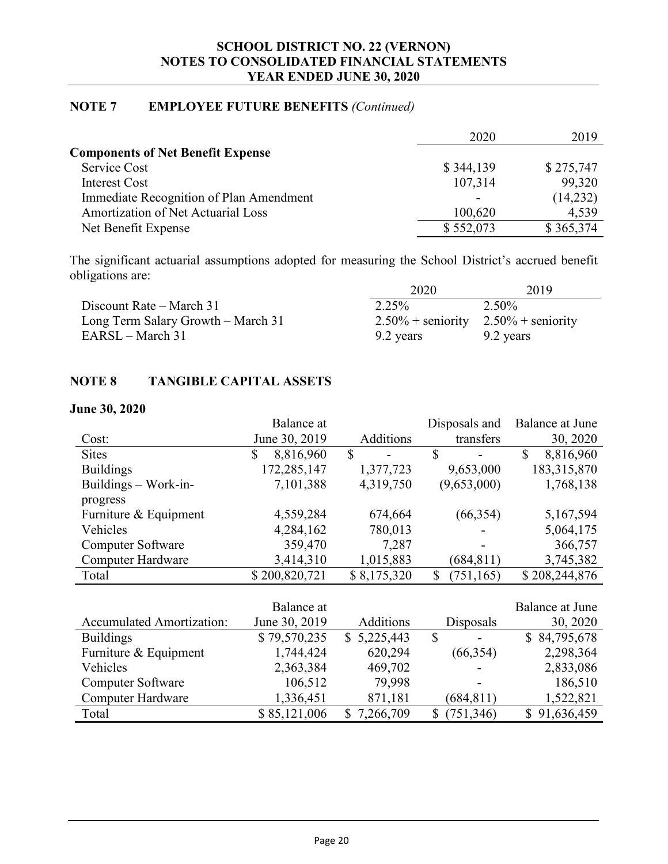#### **NOTE 7 EMPLOYEE FUTURE BENEFITS** *(Continued)*

|                                           | 2020      | 2019      |
|-------------------------------------------|-----------|-----------|
| <b>Components of Net Benefit Expense</b>  |           |           |
| Service Cost                              | \$344,139 | \$275,747 |
| Interest Cost                             | 107,314   | 99,320    |
| Immediate Recognition of Plan Amendment   |           | (14,232)  |
| <b>Amortization of Net Actuarial Loss</b> | 100,620   | 4,539     |
| Net Benefit Expense                       | \$552,073 | \$365,374 |

The significant actuarial assumptions adopted for measuring the School District's accrued benefit obligations are:

|                                    | 2020                                      | 2019      |
|------------------------------------|-------------------------------------------|-----------|
| Discount Rate – March 31           | 2.25%                                     | 2.50%     |
| Long Term Salary Growth – March 31 | $2.50\%$ + seniority $2.50\%$ + seniority |           |
| EARSL – March 31                   | 9.2 years                                 | 9.2 years |

#### **NOTE 8 TANGIBLE CAPITAL ASSETS**

#### **June 30, 2020**

|                                  | Balance at      | Disposals and    |                  | Balance at June           |  |
|----------------------------------|-----------------|------------------|------------------|---------------------------|--|
| Cost:                            | June 30, 2019   | <b>Additions</b> | transfers        | 30, 2020                  |  |
| <b>Sites</b>                     | 8,816,960<br>\$ | \$               | \$               | $\mathbb{S}$<br>8,816,960 |  |
| <b>Buildings</b>                 | 172,285,147     | 1,377,723        | 9,653,000        | 183,315,870               |  |
| Buildings $-$ Work-in-           | 7,101,388       | 4,319,750        | (9,653,000)      | 1,768,138                 |  |
| progress                         |                 |                  |                  |                           |  |
| Furniture & Equipment            | 4,559,284       | 674,664          | (66, 354)        | 5,167,594                 |  |
| Vehicles                         | 4,284,162       | 780,013          |                  | 5,064,175                 |  |
| <b>Computer Software</b>         | 359,470         | 7,287            |                  | 366,757                   |  |
| Computer Hardware                | 3,414,310       | 1,015,883        | (684, 811)       | 3,745,382                 |  |
| Total                            | \$200,820,721   | \$8,175,320      | \$<br>(751, 165) | \$208,244,876             |  |
|                                  |                 |                  |                  |                           |  |
|                                  | Balance at      |                  |                  | <b>Balance at June</b>    |  |
| <b>Accumulated Amortization:</b> | June 30, 2019   | Additions        | Disposals        | 30, 2020                  |  |
| <b>Buildings</b>                 | \$79,570,235    | \$5,225,443      | $\mathcal{S}$    | \$84,795,678              |  |
| Furniture & Equipment            | 1,744,424       | 620,294          | (66, 354)        | 2,298,364                 |  |
| Vehicles                         | 2,363,384       | 469,702          |                  | 2,833,086                 |  |
| <b>Computer Software</b>         | 106,512         | 79,998           |                  | 186,510                   |  |
| Computer Hardware                | 1,336,451       | 871,181          | (684, 811)       | 1,522,821                 |  |

Total \$ 85,121,006 \$ 7,266,709 \$ (751,346) \$ 91,636,459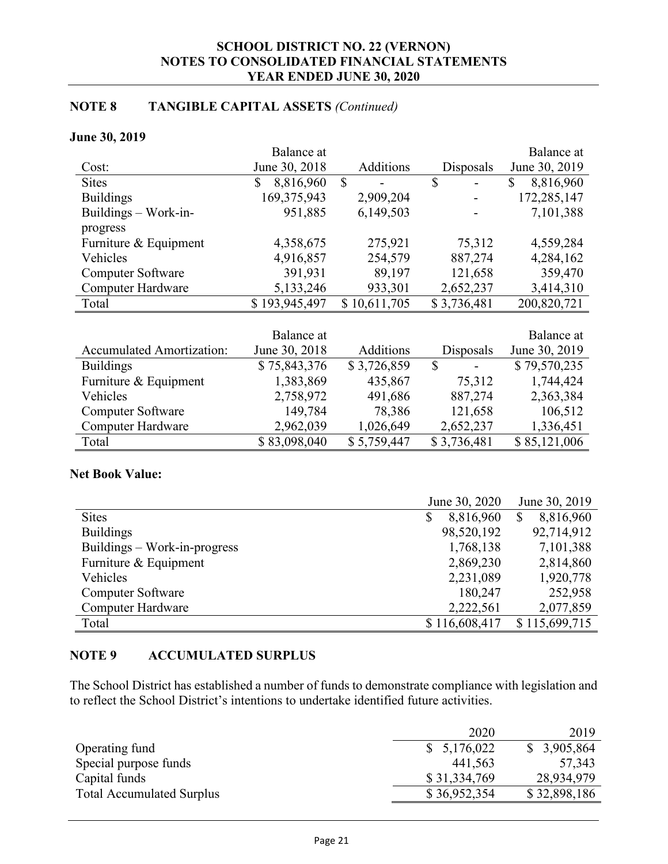#### **NOTE 8 TANGIBLE CAPITAL ASSETS** *(Continued)*

#### **June 30, 2019**

|                                  | Balance at      |              |               | Balance at      |
|----------------------------------|-----------------|--------------|---------------|-----------------|
| Cost:                            | June 30, 2018   | Additions    | Disposals     | June 30, 2019   |
| <b>Sites</b>                     | 8,816,960<br>\$ | S            | \$            | 8,816,960<br>\$ |
| <b>Buildings</b>                 | 169,375,943     | 2,909,204    |               | 172,285,147     |
| Buildings $-$ Work-in-           | 951,885         | 6,149,503    |               | 7,101,388       |
| progress                         |                 |              |               |                 |
| Furniture & Equipment            | 4,358,675       | 275,921      | 75,312        | 4,559,284       |
| Vehicles                         | 4,916,857       | 254,579      | 887,274       | 4,284,162       |
| Computer Software                | 391,931         | 89,197       | 121,658       | 359,470         |
| <b>Computer Hardware</b>         | 5,133,246       | 933,301      | 2,652,237     | 3,414,310       |
| Total                            | \$193,945,497   | \$10,611,705 | \$3,736,481   | 200,820,721     |
|                                  |                 |              |               |                 |
|                                  | Balance at      |              |               | Balance at      |
| <b>Accumulated Amortization:</b> | June 30, 2018   | Additions    | Disposals     | June 30, 2019   |
| <b>Ruildings</b>                 | \$75843376      | \$3726859    | $\mathcal{L}$ | \$79570235      |

| $\Lambda$ ccumulated $\Lambda$ mortization. | $J$ ulle $J_{\rm V}$ , $\angle$ UTO | Augundis    | Lisposais                      | $J$ ulit $J_{\rm V}$ , $\angle$ UIJ |
|---------------------------------------------|-------------------------------------|-------------|--------------------------------|-------------------------------------|
| <b>Buildings</b>                            | \$75,843,376                        | \$3,726,859 | \$<br>$\overline{\phantom{a}}$ | \$79,570,235                        |
| Furniture & Equipment                       | 1,383,869                           | 435,867     | 75,312                         | 1,744,424                           |
| Vehicles                                    | 2,758,972                           | 491,686     | 887,274                        | 2,363,384                           |
| <b>Computer Software</b>                    | 149,784                             | 78,386      | 121,658                        | 106,512                             |
| Computer Hardware                           | 2,962,039                           | 1,026,649   | 2,652,237                      | 1,336,451                           |
| Total                                       | \$83,098,040                        | \$5,759,447 | \$3,736,481                    | \$85,121,006                        |

#### **Net Book Value:**

|                              | June 30, 2020   |                           |  |
|------------------------------|-----------------|---------------------------|--|
| <b>Sites</b>                 | 8,816,960<br>\$ | 8,816,960<br>$\mathbb{S}$ |  |
| <b>Buildings</b>             | 98,520,192      | 92,714,912                |  |
| Buildings – Work-in-progress | 1,768,138       | 7,101,388                 |  |
| Furniture & Equipment        | 2,869,230       | 2,814,860                 |  |
| Vehicles                     | 2,231,089       | 1,920,778                 |  |
| <b>Computer Software</b>     | 180,247         | 252,958                   |  |
| <b>Computer Hardware</b>     | 2,222,561       | 2,077,859                 |  |
| Total                        | \$116,608,417   | \$115,699,715             |  |

#### **NOTE 9 ACCUMULATED SURPLUS**

The School District has established a number of funds to demonstrate compliance with legislation and to reflect the School District's intentions to undertake identified future activities.

|                                  | 2020         | 2019         |
|----------------------------------|--------------|--------------|
| Operating fund                   | \$5,176,022  | \$3,905,864  |
| Special purpose funds            | 441,563      | 57,343       |
| Capital funds                    | \$31,334,769 | 28,934,979   |
| <b>Total Accumulated Surplus</b> | \$36,952,354 | \$32,898,186 |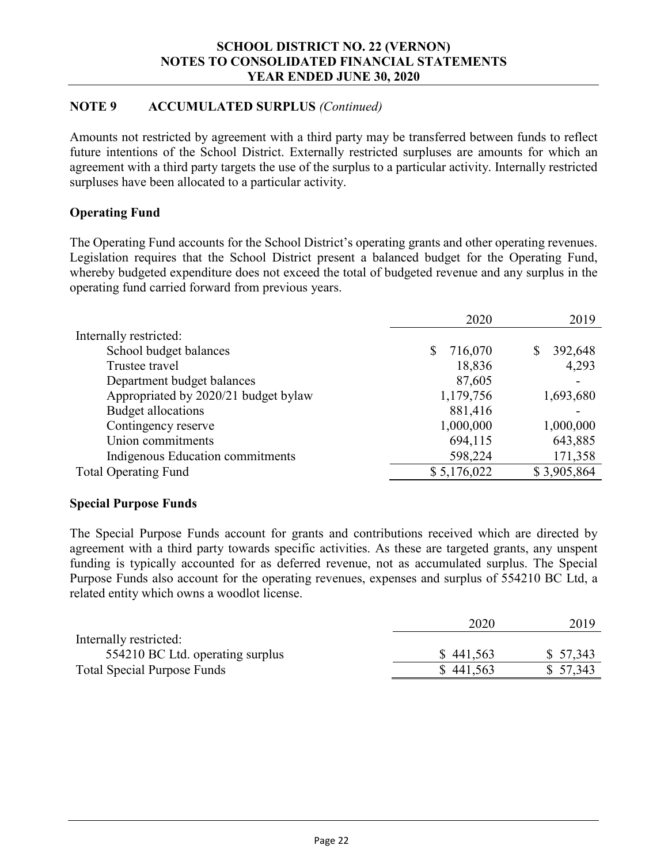#### **NOTE 9 ACCUMULATED SURPLUS** *(Continued)*

Amounts not restricted by agreement with a third party may be transferred between funds to reflect future intentions of the School District. Externally restricted surpluses are amounts for which an agreement with a third party targets the use of the surplus to a particular activity. Internally restricted surpluses have been allocated to a particular activity.

#### **Operating Fund**

The Operating Fund accounts for the School District's operating grants and other operating revenues. Legislation requires that the School District present a balanced budget for the Operating Fund, whereby budgeted expenditure does not exceed the total of budgeted revenue and any surplus in the operating fund carried forward from previous years.

|                                      | 2020          | 2019          |
|--------------------------------------|---------------|---------------|
| Internally restricted:               |               |               |
| School budget balances               | 716,070<br>S. | 392,648<br>\$ |
| Trustee travel                       | 18,836        | 4,293         |
| Department budget balances           | 87,605        |               |
| Appropriated by 2020/21 budget bylaw | 1,179,756     | 1,693,680     |
| Budget allocations                   | 881,416       |               |
| Contingency reserve                  | 1,000,000     | 1,000,000     |
| Union commitments                    | 694,115       | 643,885       |
| Indigenous Education commitments     | 598,224       | 171,358       |
| <b>Total Operating Fund</b>          | \$5,176,022   | \$3,905,864   |

#### **Special Purpose Funds**

The Special Purpose Funds account for grants and contributions received which are directed by agreement with a third party towards specific activities. As these are targeted grants, any unspent funding is typically accounted for as deferred revenue, not as accumulated surplus. The Special Purpose Funds also account for the operating revenues, expenses and surplus of 554210 BC Ltd, a related entity which owns a woodlot license.

|                                    | 2020      | 2019      |
|------------------------------------|-----------|-----------|
| Internally restricted:             |           |           |
| 554210 BC Ltd. operating surplus   | \$441,563 | \$ 57,343 |
| <b>Total Special Purpose Funds</b> | \$441,563 | \$57,343  |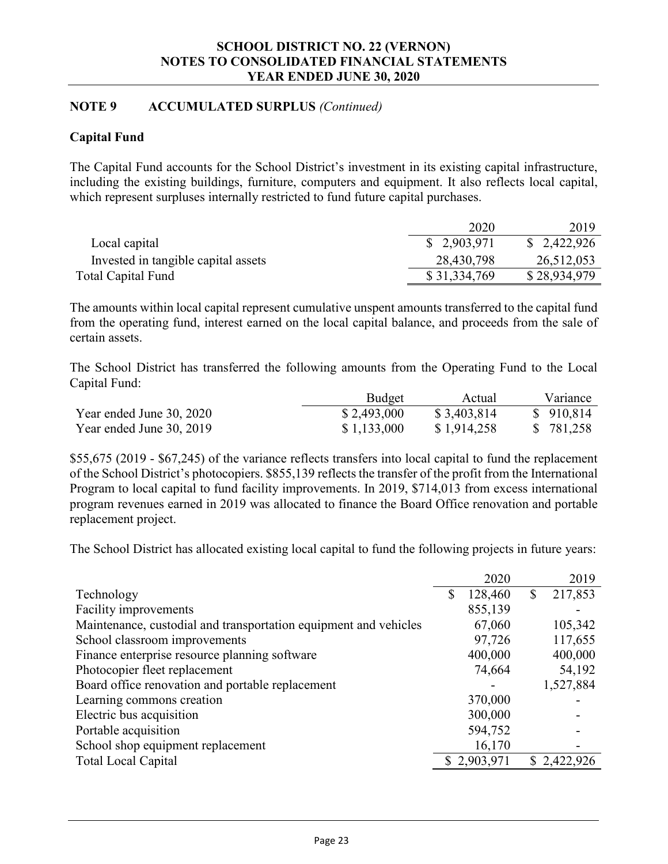#### **NOTE 9 ACCUMULATED SURPLUS** *(Continued)*

#### **Capital Fund**

The Capital Fund accounts for the School District's investment in its existing capital infrastructure, including the existing buildings, furniture, computers and equipment. It also reflects local capital, which represent surpluses internally restricted to fund future capital purchases.

|                                     | 2020         | 2019         |
|-------------------------------------|--------------|--------------|
| Local capital                       | \$2,903,971  | \$2,422,926  |
| Invested in tangible capital assets | 28,430,798   | 26,512,053   |
| Total Capital Fund                  | \$31,334,769 | \$28,934,979 |

The amounts within local capital represent cumulative unspent amounts transferred to the capital fund from the operating fund, interest earned on the local capital balance, and proceeds from the sale of certain assets.

The School District has transferred the following amounts from the Operating Fund to the Local Capital Fund:

|                          | <b>Budget</b> | Actual      | Variance   |
|--------------------------|---------------|-------------|------------|
| Year ended June 30, 2020 | \$2,493,000   | \$3,403,814 | \$910,814  |
| Year ended June 30, 2019 | \$1,133,000   | \$1,914,258 | \$ 781,258 |

\$55,675 (2019 - \$67,245) of the variance reflects transfers into local capital to fund the replacement of the School District's photocopiers. \$855,139 reflects the transfer of the profit from the International Program to local capital to fund facility improvements. In 2019, \$714,013 from excess international program revenues earned in 2019 was allocated to finance the Board Office renovation and portable replacement project.

The School District has allocated existing local capital to fund the following projects in future years:

|                                                                  | 2020          |   | 2019        |
|------------------------------------------------------------------|---------------|---|-------------|
| Technology                                                       | \$<br>128,460 | S | 217,853     |
| Facility improvements                                            | 855,139       |   |             |
| Maintenance, custodial and transportation equipment and vehicles | 67,060        |   | 105,342     |
| School classroom improvements                                    | 97,726        |   | 117,655     |
| Finance enterprise resource planning software                    | 400,000       |   | 400,000     |
| Photocopier fleet replacement                                    | 74,664        |   | 54,192      |
| Board office renovation and portable replacement                 |               |   | 1,527,884   |
| Learning commons creation                                        | 370,000       |   |             |
| Electric bus acquisition                                         | 300,000       |   |             |
| Portable acquisition                                             | 594,752       |   |             |
| School shop equipment replacement                                | 16,170        |   |             |
| <b>Total Local Capital</b>                                       | \$2,903,971   |   | \$2,422,926 |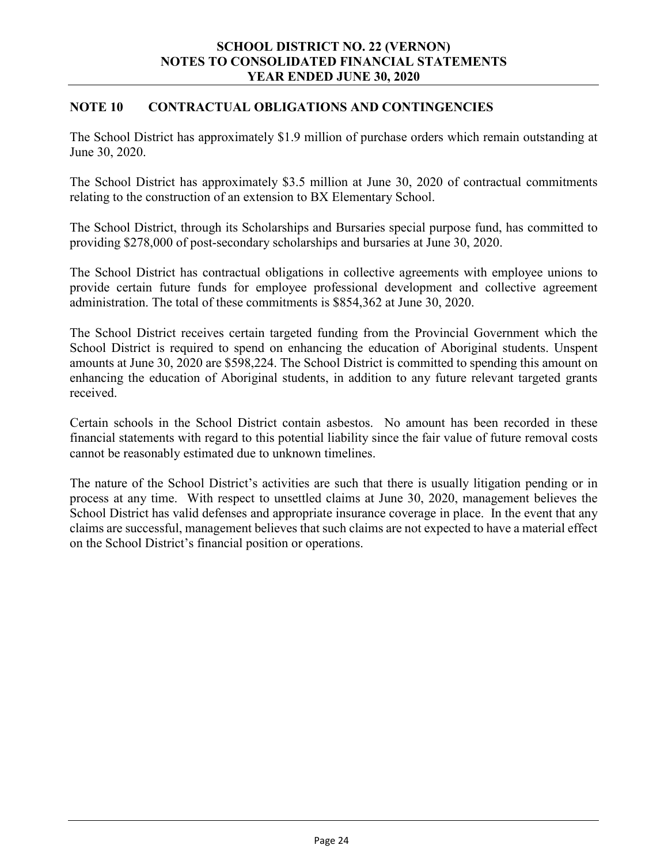#### **NOTE 10 CONTRACTUAL OBLIGATIONS AND CONTINGENCIES**

The School District has approximately \$1.9 million of purchase orders which remain outstanding at June 30, 2020.

The School District has approximately \$3.5 million at June 30, 2020 of contractual commitments relating to the construction of an extension to BX Elementary School.

The School District, through its Scholarships and Bursaries special purpose fund, has committed to providing \$278,000 of post-secondary scholarships and bursaries at June 30, 2020.

The School District has contractual obligations in collective agreements with employee unions to provide certain future funds for employee professional development and collective agreement administration. The total of these commitments is \$854,362 at June 30, 2020.

The School District receives certain targeted funding from the Provincial Government which the School District is required to spend on enhancing the education of Aboriginal students. Unspent amounts at June 30, 2020 are \$598,224. The School District is committed to spending this amount on enhancing the education of Aboriginal students, in addition to any future relevant targeted grants received.

Certain schools in the School District contain asbestos. No amount has been recorded in these financial statements with regard to this potential liability since the fair value of future removal costs cannot be reasonably estimated due to unknown timelines.

The nature of the School District's activities are such that there is usually litigation pending or in process at any time. With respect to unsettled claims at June 30, 2020, management believes the School District has valid defenses and appropriate insurance coverage in place. In the event that any claims are successful, management believes that such claims are not expected to have a material effect on the School District's financial position or operations.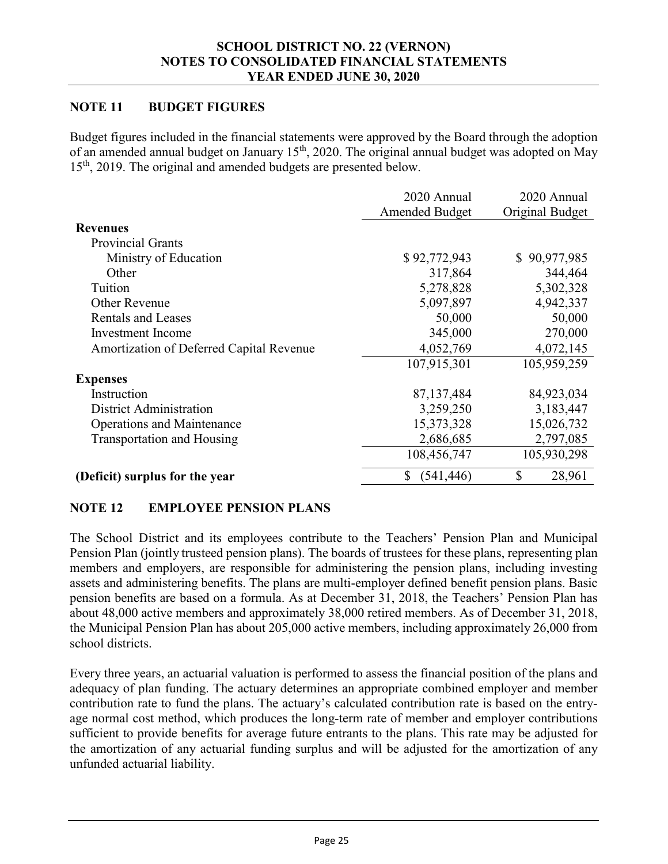#### **NOTE 11 BUDGET FIGURES**

Budget figures included in the financial statements were approved by the Board through the adoption of an amended annual budget on January 15th, 2020. The original annual budget was adopted on May 15<sup>th</sup>, 2019. The original and amended budgets are presented below.

|                                          | 2020 Annual      | 2020 Annual     |
|------------------------------------------|------------------|-----------------|
|                                          | Amended Budget   | Original Budget |
| <b>Revenues</b>                          |                  |                 |
| <b>Provincial Grants</b>                 |                  |                 |
| Ministry of Education                    | \$92,772,943     | \$90,977,985    |
| Other                                    | 317,864          | 344,464         |
| Tuition                                  | 5,278,828        | 5,302,328       |
| <b>Other Revenue</b>                     | 5,097,897        | 4,942,337       |
| <b>Rentals and Leases</b>                | 50,000           | 50,000          |
| <b>Investment</b> Income                 | 345,000          | 270,000         |
| Amortization of Deferred Capital Revenue | 4,052,769        | 4,072,145       |
|                                          | 107,915,301      | 105,959,259     |
| <b>Expenses</b>                          |                  |                 |
| Instruction                              | 87, 137, 484     | 84,923,034      |
| District Administration                  | 3,259,250        | 3,183,447       |
| <b>Operations and Maintenance</b>        | 15,373,328       | 15,026,732      |
| <b>Transportation and Housing</b>        | 2,686,685        | 2,797,085       |
|                                          | 108,456,747      | 105,930,298     |
| (Deficit) surplus for the year           | (541, 446)<br>\$ | \$<br>28,961    |

#### **NOTE 12 EMPLOYEE PENSION PLANS**

The School District and its employees contribute to the Teachers' Pension Plan and Municipal Pension Plan (jointly trusteed pension plans). The boards of trustees for these plans, representing plan members and employers, are responsible for administering the pension plans, including investing assets and administering benefits. The plans are multi-employer defined benefit pension plans. Basic pension benefits are based on a formula. As at December 31, 2018, the Teachers' Pension Plan has about 48,000 active members and approximately 38,000 retired members. As of December 31, 2018, the Municipal Pension Plan has about 205,000 active members, including approximately 26,000 from school districts.

Every three years, an actuarial valuation is performed to assess the financial position of the plans and adequacy of plan funding. The actuary determines an appropriate combined employer and member contribution rate to fund the plans. The actuary's calculated contribution rate is based on the entryage normal cost method, which produces the long-term rate of member and employer contributions sufficient to provide benefits for average future entrants to the plans. This rate may be adjusted for the amortization of any actuarial funding surplus and will be adjusted for the amortization of any unfunded actuarial liability.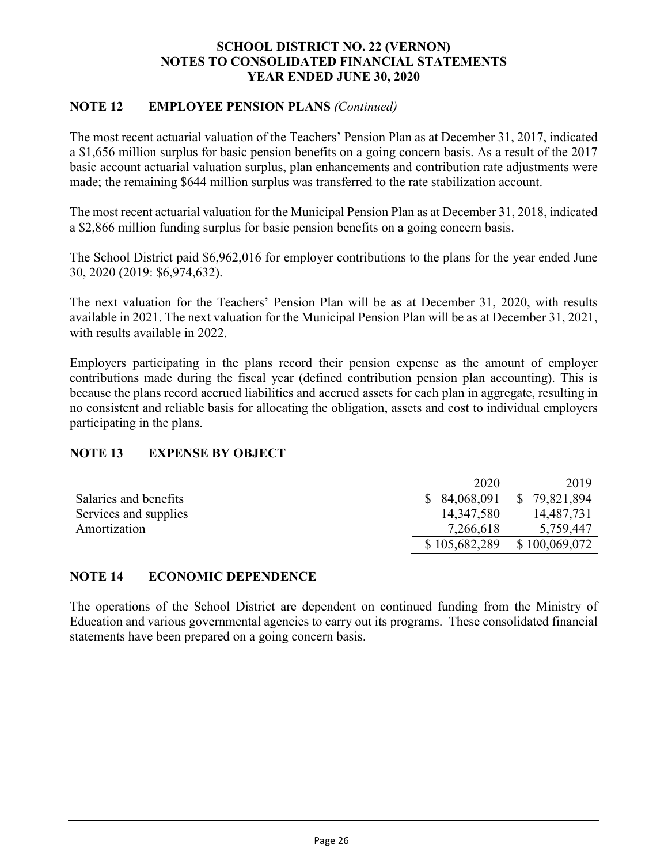#### **NOTE 12 EMPLOYEE PENSION PLANS** *(Continued)*

The most recent actuarial valuation of the Teachers' Pension Plan as at December 31, 2017, indicated a \$1,656 million surplus for basic pension benefits on a going concern basis. As a result of the 2017 basic account actuarial valuation surplus, plan enhancements and contribution rate adjustments were made; the remaining \$644 million surplus was transferred to the rate stabilization account.

The most recent actuarial valuation for the Municipal Pension Plan as at December 31, 2018, indicated a \$2,866 million funding surplus for basic pension benefits on a going concern basis.

The School District paid \$6,962,016 for employer contributions to the plans for the year ended June 30, 2020 (2019: \$6,974,632).

The next valuation for the Teachers' Pension Plan will be as at December 31, 2020, with results available in 2021. The next valuation for the Municipal Pension Plan will be as at December 31, 2021, with results available in 2022.

Employers participating in the plans record their pension expense as the amount of employer contributions made during the fiscal year (defined contribution pension plan accounting). This is because the plans record accrued liabilities and accrued assets for each plan in aggregate, resulting in no consistent and reliable basis for allocating the obligation, assets and cost to individual employers participating in the plans.

#### **NOTE 13 EXPENSE BY OBJECT**

|                       | 2020          | 2019          |
|-----------------------|---------------|---------------|
| Salaries and benefits | \$ 84,068,091 | \$79,821,894  |
| Services and supplies | 14,347,580    | 14,487,731    |
| Amortization          | 7,266,618     | 5,759,447     |
|                       | \$105,682,289 | \$100,069,072 |

#### **NOTE 14 ECONOMIC DEPENDENCE**

The operations of the School District are dependent on continued funding from the Ministry of Education and various governmental agencies to carry out its programs. These consolidated financial statements have been prepared on a going concern basis.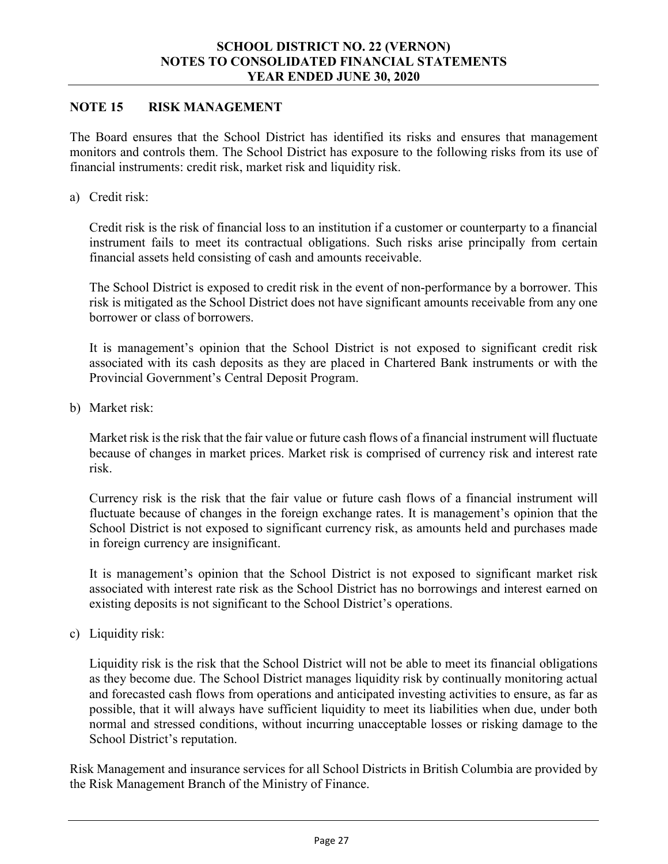#### **NOTE 15 RISK MANAGEMENT**

The Board ensures that the School District has identified its risks and ensures that management monitors and controls them. The School District has exposure to the following risks from its use of financial instruments: credit risk, market risk and liquidity risk.

a) Credit risk:

Credit risk is the risk of financial loss to an institution if a customer or counterparty to a financial instrument fails to meet its contractual obligations. Such risks arise principally from certain financial assets held consisting of cash and amounts receivable.

The School District is exposed to credit risk in the event of non-performance by a borrower. This risk is mitigated as the School District does not have significant amounts receivable from any one borrower or class of borrowers.

It is management's opinion that the School District is not exposed to significant credit risk associated with its cash deposits as they are placed in Chartered Bank instruments or with the Provincial Government's Central Deposit Program.

b) Market risk:

Market risk is the risk that the fair value or future cash flows of a financial instrument will fluctuate because of changes in market prices. Market risk is comprised of currency risk and interest rate risk.

Currency risk is the risk that the fair value or future cash flows of a financial instrument will fluctuate because of changes in the foreign exchange rates. It is management's opinion that the School District is not exposed to significant currency risk, as amounts held and purchases made in foreign currency are insignificant.

It is management's opinion that the School District is not exposed to significant market risk associated with interest rate risk as the School District has no borrowings and interest earned on existing deposits is not significant to the School District's operations.

c) Liquidity risk:

Liquidity risk is the risk that the School District will not be able to meet its financial obligations as they become due. The School District manages liquidity risk by continually monitoring actual and forecasted cash flows from operations and anticipated investing activities to ensure, as far as possible, that it will always have sufficient liquidity to meet its liabilities when due, under both normal and stressed conditions, without incurring unacceptable losses or risking damage to the School District's reputation.

Risk Management and insurance services for all School Districts in British Columbia are provided by the Risk Management Branch of the Ministry of Finance.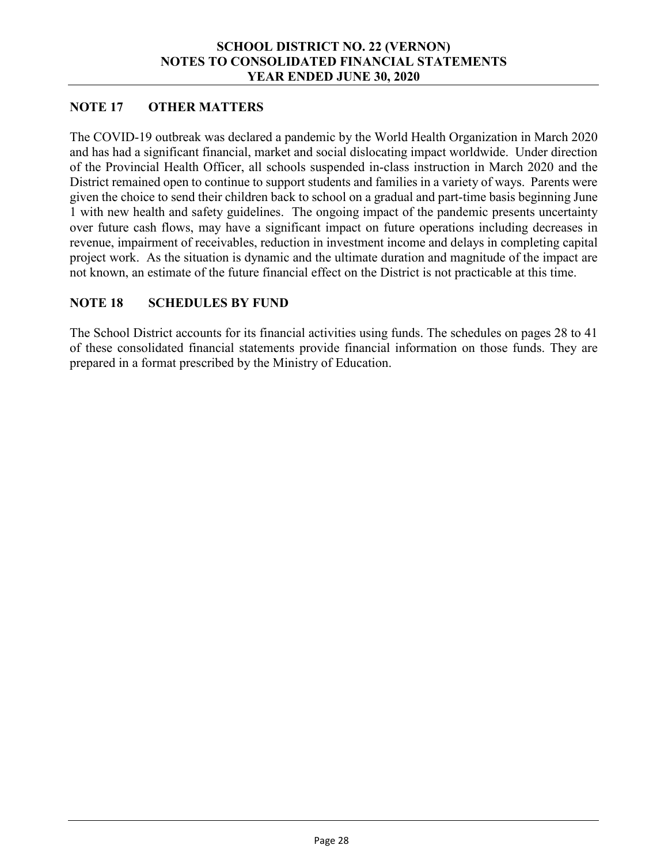#### **NOTE 17 OTHER MATTERS**

The COVID-19 outbreak was declared a pandemic by the World Health Organization in March 2020 and has had a significant financial, market and social dislocating impact worldwide. Under direction of the Provincial Health Officer, all schools suspended in-class instruction in March 2020 and the District remained open to continue to support students and families in a variety of ways. Parents were given the choice to send their children back to school on a gradual and part-time basis beginning June 1 with new health and safety guidelines. The ongoing impact of the pandemic presents uncertainty over future cash flows, may have a significant impact on future operations including decreases in revenue, impairment of receivables, reduction in investment income and delays in completing capital project work. As the situation is dynamic and the ultimate duration and magnitude of the impact are not known, an estimate of the future financial effect on the District is not practicable at this time.

#### **NOTE 18 SCHEDULES BY FUND**

The School District accounts for its financial activities using funds. The schedules on pages 28 to 41 of these consolidated financial statements provide financial information on those funds. They are prepared in a format prescribed by the Ministry of Education.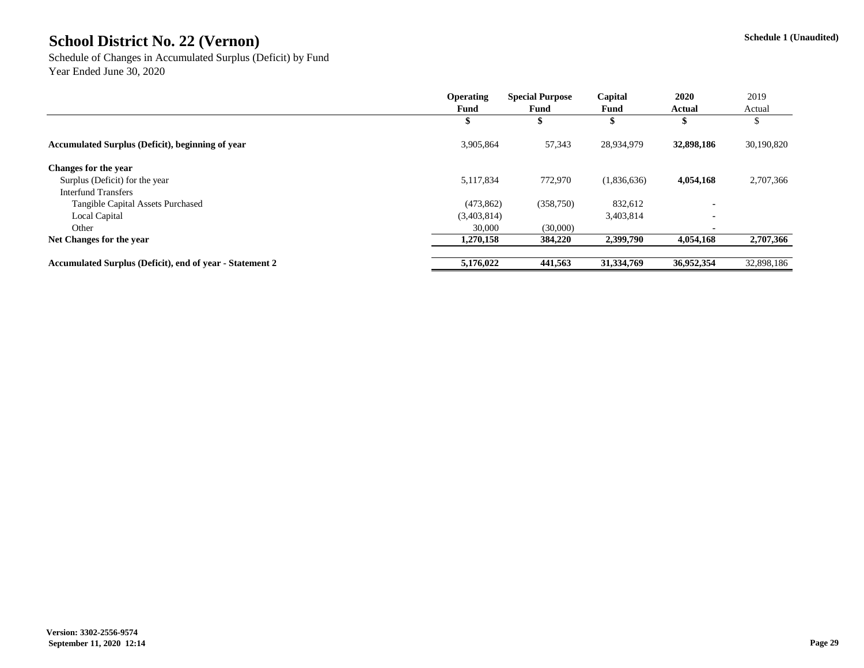Schedule of Changes in Accumulated Surplus (Deficit) by Fund Year Ended June 30, 2020

|                                                                 | <b>Operating</b> | <b>Special Purpose</b> | Capital     | 2020           | 2019       |
|-----------------------------------------------------------------|------------------|------------------------|-------------|----------------|------------|
|                                                                 | Fund             | Fund                   | Fund        | <b>Actual</b>  | Actual     |
|                                                                 |                  |                        |             |                |            |
| <b>Accumulated Surplus (Deficit), beginning of year</b>         | 3,905,864        | 57,343                 | 28,934,979  | 32,898,186     | 30,190,820 |
| <b>Changes for the year</b>                                     |                  |                        |             |                |            |
| Surplus (Deficit) for the year                                  | 5,117,834        | 772,970                | (1,836,636) | 4,054,168      | 2,707,366  |
| <b>Interfund Transfers</b>                                      |                  |                        |             |                |            |
| <b>Tangible Capital Assets Purchased</b>                        | (473, 862)       | (358,750)              | 832,612     | $\blacksquare$ |            |
| <b>Local Capital</b>                                            | (3,403,814)      |                        | 3,403,814   | $\blacksquare$ |            |
| Other                                                           | 30,000           | (30,000)               |             |                |            |
| Net Changes for the year                                        | 1,270,158        | 384,220                | 2,399,790   | 4,054,168      | 2,707,366  |
| <b>Accumulated Surplus (Deficit), end of year - Statement 2</b> | 5,176,022        | 441,563                | 31,334,769  | 36,952,354     | 32,898,186 |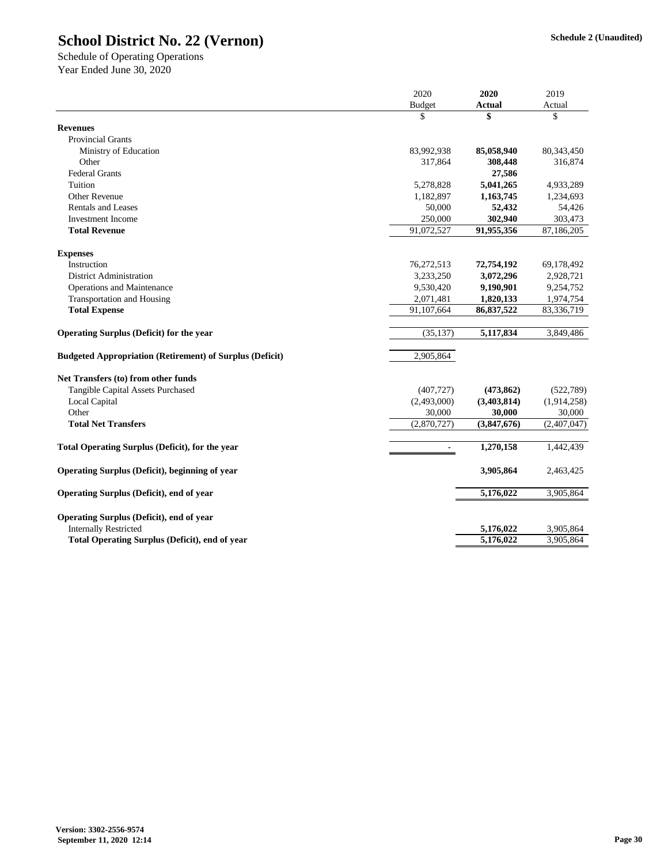|                                                                 | 2020          | 2020          | 2019         |  |
|-----------------------------------------------------------------|---------------|---------------|--------------|--|
|                                                                 | <b>Budget</b> | <b>Actual</b> | Actual       |  |
|                                                                 | \$            | \$            | \$           |  |
| <b>Revenues</b>                                                 |               |               |              |  |
| <b>Provincial Grants</b>                                        |               |               |              |  |
| Ministry of Education                                           | 83,992,938    | 85,058,940    | 80, 343, 450 |  |
| Other                                                           | 317,864       | 308,448       | 316,874      |  |
| <b>Federal Grants</b>                                           |               | 27,586        |              |  |
| Tuition                                                         | 5,278,828     | 5,041,265     | 4,933,289    |  |
| <b>Other Revenue</b>                                            | 1,182,897     | 1,163,745     | 1,234,693    |  |
| <b>Rentals and Leases</b>                                       | 50,000        | 52,432        | 54,426       |  |
| <b>Investment Income</b>                                        | 250,000       | 302,940       | 303,473      |  |
| <b>Total Revenue</b>                                            | 91,072,527    | 91,955,356    | 87,186,205   |  |
| <b>Expenses</b>                                                 |               |               |              |  |
| Instruction                                                     | 76,272,513    | 72,754,192    | 69,178,492   |  |
| <b>District Administration</b>                                  | 3,233,250     | 3,072,296     | 2,928,721    |  |
| <b>Operations and Maintenance</b>                               | 9,530,420     | 9,190,901     | 9,254,752    |  |
| <b>Transportation and Housing</b>                               | 2,071,481     | 1,820,133     | 1,974,754    |  |
| <b>Total Expense</b>                                            | 91,107,664    | 86,837,522    | 83,336,719   |  |
| <b>Operating Surplus (Deficit) for the year</b>                 | (35, 137)     | 5,117,834     | 3,849,486    |  |
| <b>Budgeted Appropriation (Retirement) of Surplus (Deficit)</b> | 2,905,864     |               |              |  |
| Net Transfers (to) from other funds                             |               |               |              |  |
| <b>Tangible Capital Assets Purchased</b>                        | (407, 727)    | (473, 862)    | (522, 789)   |  |
| Local Capital                                                   | (2,493,000)   | (3,403,814)   | (1,914,258)  |  |
| Other                                                           | 30,000        | 30,000        | 30,000       |  |
| <b>Total Net Transfers</b>                                      | (2,870,727)   | (3,847,676)   | (2,407,047)  |  |
| <b>Total Operating Surplus (Deficit), for the year</b>          |               | 1,270,158     | 1,442,439    |  |
| <b>Operating Surplus (Deficit), beginning of year</b>           |               | 3,905,864     | 2,463,425    |  |
| <b>Operating Surplus (Deficit), end of year</b>                 |               | 5,176,022     |              |  |
|                                                                 |               |               | 3,905,864    |  |
| <b>Operating Surplus (Deficit), end of year</b>                 |               |               |              |  |
| <b>Internally Restricted</b>                                    |               | 5,176,022     | 3,905,864    |  |
| <b>Total Operating Surplus (Deficit), end of year</b>           |               | 5,176,022     | 3,905,864    |  |

Schedule of Operating Operations Year Ended June 30, 2020

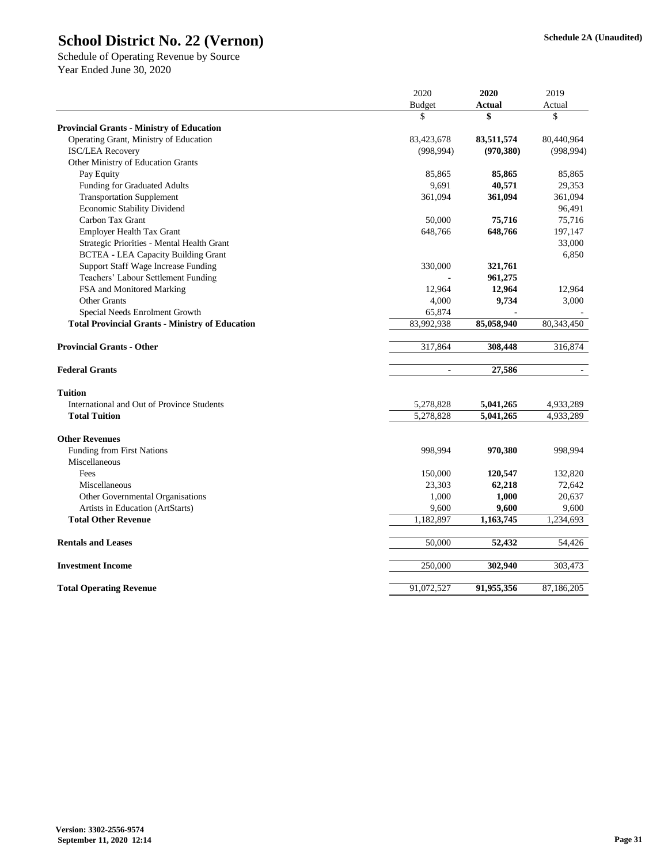|                                                        | 2020          | 2020          | 2019         |
|--------------------------------------------------------|---------------|---------------|--------------|
|                                                        | <b>Budget</b> | <b>Actual</b> | Actual       |
|                                                        | \$            | \$            | \$           |
| <b>Provincial Grants - Ministry of Education</b>       |               |               |              |
| Operating Grant, Ministry of Education                 | 83,423,678    | 83,511,574    | 80,440,964   |
| <b>ISC/LEA Recovery</b>                                | (998, 994)    | (970, 380)    | (998, 994)   |
| Other Ministry of Education Grants                     |               |               |              |
| Pay Equity                                             | 85,865        | 85,865        | 85,865       |
| <b>Funding for Graduated Adults</b>                    | 9,691         | 40,571        | 29,353       |
| <b>Transportation Supplement</b>                       | 361,094       | 361,094       | 361,094      |
| Economic Stability Dividend                            |               |               | 96,491       |
| Carbon Tax Grant                                       | 50,000        | 75,716        | 75,716       |
| <b>Employer Health Tax Grant</b>                       | 648,766       | 648,766       | 197,147      |
| Strategic Priorities - Mental Health Grant             |               |               | 33,000       |
| <b>BCTEA - LEA Capacity Building Grant</b>             |               |               | 6,850        |
| <b>Support Staff Wage Increase Funding</b>             | 330,000       | 321,761       |              |
| Teachers' Labour Settlement Funding                    |               | 961,275       |              |
| FSA and Monitored Marking                              | 12,964        | 12,964        | 12,964       |
| <b>Other Grants</b>                                    | 4,000         | 9,734         | 3,000        |
| Special Needs Enrolment Growth                         | 65,874        |               |              |
| <b>Total Provincial Grants - Ministry of Education</b> | 83,992,938    | 85,058,940    | 80, 343, 450 |
|                                                        |               |               |              |
| <b>Provincial Grants - Other</b>                       | 317,864       | 308,448       | 316,874      |
| <b>Federal Grants</b>                                  |               | 27,586        |              |
| <b>Tuition</b>                                         |               |               |              |
| International and Out of Province Students             | 5,278,828     | 5,041,265     | 4,933,289    |
| <b>Total Tuition</b>                                   | 5,278,828     | 5,041,265     | 4,933,289    |
| <b>Other Revenues</b>                                  |               |               |              |
| Funding from First Nations                             | 998,994       | 970,380       | 998,994      |
| Miscellaneous                                          |               |               |              |
| Fees                                                   | 150,000       | 120,547       | 132,820      |
| Miscellaneous                                          | 23,303        | 62,218        | 72,642       |
| Other Governmental Organisations                       | 1,000         | 1,000         | 20,637       |
| Artists in Education (ArtStarts)                       | 9,600         | 9,600         | 9,600        |
| <b>Total Other Revenue</b>                             | 1,182,897     | 1,163,745     | 1,234,693    |
|                                                        |               |               |              |
| <b>Rentals and Leases</b>                              | 50,000        | 52,432        | 54,426       |
| <b>Investment Income</b>                               | 250,000       | 302,940       | 303,473      |
| <b>Total Operating Revenue</b>                         | 91,072,527    | 91,955,356    | 87,186,205   |
|                                                        |               |               |              |

Schedule of Operating Revenue by Source Year Ended June 30, 2020

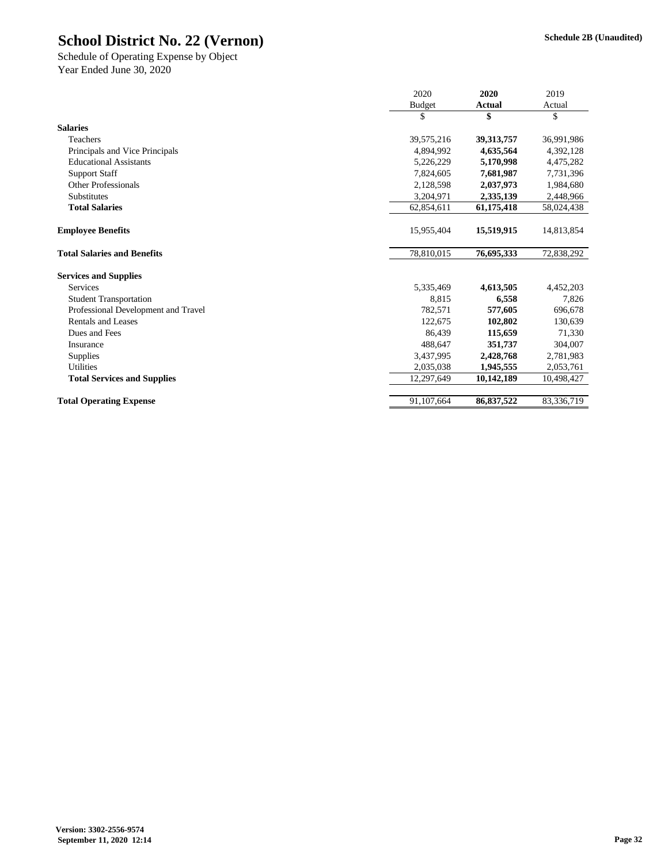|                                     | 2020          | 2020          | 2019       |
|-------------------------------------|---------------|---------------|------------|
|                                     | <b>Budget</b> | <b>Actual</b> | Actual     |
|                                     | \$            | \$            | \$         |
| <b>Salaries</b>                     |               |               |            |
| Teachers                            | 39,575,216    | 39, 313, 757  | 36,991,986 |
| Principals and Vice Principals      | 4,894,992     | 4,635,564     | 4,392,128  |
| <b>Educational Assistants</b>       | 5,226,229     | 5,170,998     | 4,475,282  |
| <b>Support Staff</b>                | 7,824,605     | 7,681,987     | 7,731,396  |
| <b>Other Professionals</b>          | 2,128,598     | 2,037,973     | 1,984,680  |
| Substitutes                         | 3,204,971     | 2,335,139     | 2,448,966  |
| <b>Total Salaries</b>               | 62,854,611    | 61,175,418    | 58,024,438 |
| <b>Employee Benefits</b>            | 15,955,404    | 15,519,915    | 14,813,854 |
| <b>Total Salaries and Benefits</b>  | 78,810,015    | 76,695,333    | 72,838,292 |
| <b>Services and Supplies</b>        |               |               |            |
| Services                            | 5,335,469     | 4,613,505     | 4,452,203  |
| <b>Student Transportation</b>       | 8,815         | 6,558         | 7,826      |
| Professional Development and Travel | 782,571       | 577,605       | 696,678    |
| <b>Rentals and Leases</b>           | 122,675       | 102,802       | 130,639    |
| Dues and Fees                       | 86,439        | 115,659       | 71,330     |
| Insurance                           | 488,647       | 351,737       | 304,007    |
| <b>Supplies</b>                     | 3,437,995     | 2,428,768     | 2,781,983  |
| <b>Utilities</b>                    | 2,035,038     | 1,945,555     | 2,053,761  |
| <b>Total Services and Supplies</b>  | 12,297,649    | 10,142,189    | 10,498,427 |
| <b>Total Operating Expense</b>      | 91,107,664    | 86,837,522    | 83,336,719 |

Year Ended June 30, 2020 Schedule of Operating Expense by Object

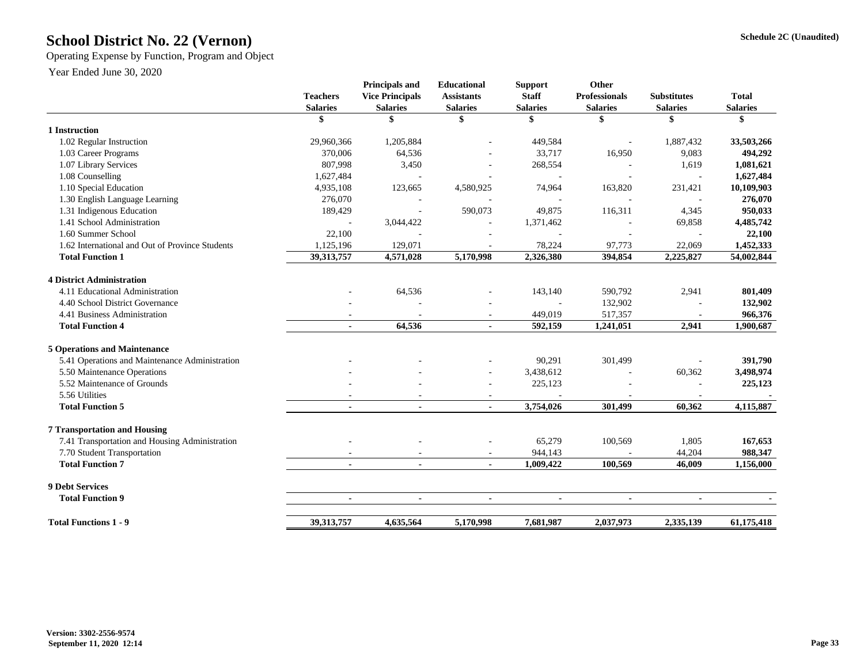## **Schedule 2C (Unaudited) School District No. 22 (Vernon)**

Operating Expense by Function, Program and Object

| <b>Teachers</b><br><b>Salaries</b> | <b>Principals and</b><br><b>Vice Principals</b><br><b>Salaries</b> | <b>Educational</b><br><b>Assistants</b><br><b>Salaries</b> | <b>Support</b><br><b>Staff</b><br><b>Salaries</b> | <b>Other</b><br><b>Professionals</b><br><b>Salaries</b>                                        | <b>Substitutes</b><br><b>Salaries</b>                         | <b>Total</b><br><b>Salaries</b>                          |
|------------------------------------|--------------------------------------------------------------------|------------------------------------------------------------|---------------------------------------------------|------------------------------------------------------------------------------------------------|---------------------------------------------------------------|----------------------------------------------------------|
| S                                  |                                                                    | \$                                                         | S                                                 |                                                                                                |                                                               | ж                                                        |
|                                    |                                                                    |                                                            |                                                   |                                                                                                |                                                               |                                                          |
|                                    |                                                                    |                                                            |                                                   |                                                                                                |                                                               | 33,503,266                                               |
|                                    |                                                                    |                                                            |                                                   |                                                                                                |                                                               | 494,292                                                  |
|                                    | 3,450                                                              |                                                            | 268,554                                           |                                                                                                | 1,619                                                         | 1,081,621                                                |
| 1,627,484                          |                                                                    |                                                            |                                                   |                                                                                                |                                                               | 1,627,484                                                |
| 4,935,108                          | 123,665                                                            | 4,580,925                                                  | 74,964                                            | 163,820                                                                                        | 231,421                                                       | 10,109,903                                               |
| 276,070                            |                                                                    |                                                            |                                                   |                                                                                                |                                                               | 276,070                                                  |
| 189,429                            | $\overline{\phantom{a}}$                                           | 590,073                                                    | 49,875                                            | 116,311                                                                                        | 4,345                                                         | 950,033                                                  |
|                                    | 3,044,422                                                          |                                                            | 1,371,462                                         |                                                                                                | 69,858                                                        | 4,485,742                                                |
| 22,100                             |                                                                    |                                                            |                                                   |                                                                                                |                                                               | 22,100                                                   |
| 1,125,196                          | 129,071                                                            |                                                            | 78,224                                            | 97,773                                                                                         | 22,069                                                        | 1,452,333                                                |
| 39, 313, 757                       | 4,571,028                                                          | 5,170,998                                                  | 2,326,380                                         | 394,854                                                                                        | 2,225,827                                                     | 54,002,844                                               |
|                                    |                                                                    |                                                            |                                                   |                                                                                                |                                                               |                                                          |
|                                    |                                                                    |                                                            |                                                   |                                                                                                |                                                               | 801,409                                                  |
|                                    |                                                                    |                                                            |                                                   |                                                                                                |                                                               | 132,902                                                  |
|                                    |                                                                    |                                                            |                                                   |                                                                                                |                                                               | 966,376                                                  |
|                                    | 64,536                                                             | Ξ.                                                         | 592,159                                           | 1,241,051                                                                                      | 2,941                                                         | 1,900,687                                                |
|                                    |                                                                    |                                                            |                                                   |                                                                                                |                                                               |                                                          |
|                                    |                                                                    |                                                            |                                                   |                                                                                                |                                                               | 391,790                                                  |
|                                    |                                                                    | $\overline{\phantom{a}}$                                   |                                                   |                                                                                                |                                                               | 3,498,974                                                |
|                                    |                                                                    |                                                            |                                                   |                                                                                                |                                                               | 225,123                                                  |
|                                    |                                                                    |                                                            |                                                   |                                                                                                |                                                               |                                                          |
| $\blacksquare$                     | $\blacksquare$                                                     | $\blacksquare$                                             | 3,754,026                                         | 301,499                                                                                        | 60,362                                                        | 4,115,887                                                |
|                                    |                                                                    |                                                            |                                                   |                                                                                                |                                                               |                                                          |
|                                    |                                                                    |                                                            |                                                   |                                                                                                |                                                               | 167,653                                                  |
|                                    |                                                                    |                                                            |                                                   |                                                                                                |                                                               | 988,347                                                  |
|                                    |                                                                    | $\blacksquare$                                             | 1,009,422                                         | 100,569                                                                                        | 46,009                                                        | 1,156,000                                                |
|                                    |                                                                    |                                                            |                                                   |                                                                                                |                                                               |                                                          |
| $\sim$                             | $\blacksquare$                                                     | $\blacksquare$                                             | $\blacksquare$                                    | $\blacksquare$                                                                                 | $\blacksquare$                                                |                                                          |
|                                    | 4,635,564                                                          | 5,170,998                                                  | 7,681,987                                         | 2,037,973                                                                                      | 2,335,139                                                     | 61,175,418                                               |
|                                    | 29,960,366<br>370,006<br>807,998<br>39, 313, 757                   | 1,205,884<br>64,536<br>64,536                              |                                                   | 449,584<br>33,717<br>143,140<br>449,019<br>90,291<br>3,438,612<br>225,123<br>65,279<br>944,143 | 16,950<br>590,792<br>132,902<br>517,357<br>301,499<br>100,569 | 1,887,432<br>9,083<br>2,941<br>60,362<br>1,805<br>44,204 |

Year Ended June 30, 2020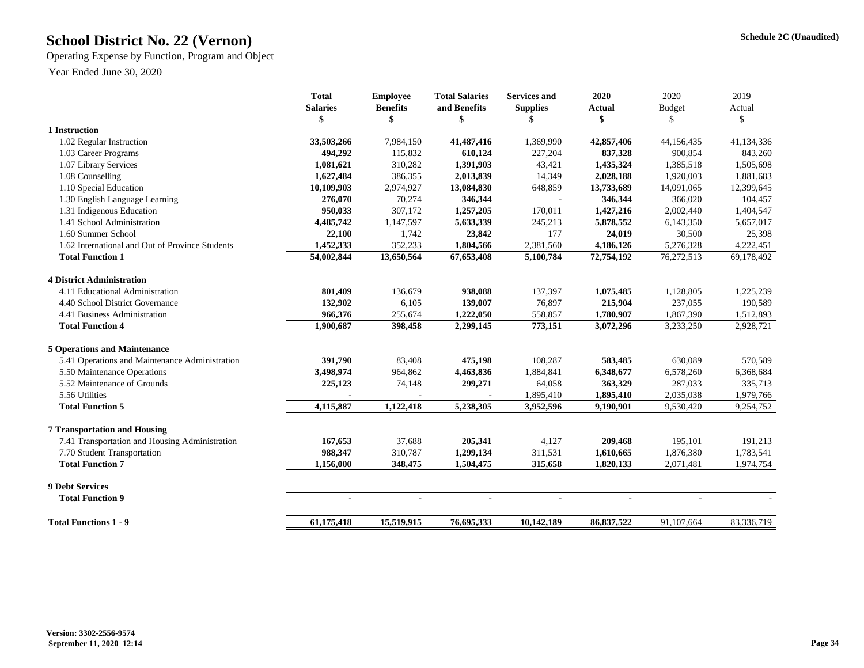## **Schedule 2C (Unaudited) School District No. 22 (Vernon)**

Operating Expense by Function, Program and Object

Year Ended June 30, 2020

|                                                                                       | <b>Total</b>    | <b>Employee</b> | <b>Total Salaries</b> | <b>Services and</b> | 2020           | 2020                     | 2019       |
|---------------------------------------------------------------------------------------|-----------------|-----------------|-----------------------|---------------------|----------------|--------------------------|------------|
|                                                                                       | <b>Salaries</b> | <b>Benefits</b> | and Benefits          | <b>Supplies</b>     | <b>Actual</b>  | <b>Budget</b>            | Actual     |
|                                                                                       |                 | \$              | \$                    |                     | $\mathbf{\$}$  | $\mathbb{S}$             | \$         |
| 1 Instruction                                                                         |                 |                 |                       |                     |                |                          |            |
| 1.02 Regular Instruction                                                              | 33,503,266      | 7,984,150       | 41,487,416            | 1,369,990           | 42,857,406     | 44,156,435               | 41,134,336 |
| 1.03 Career Programs                                                                  | 494,292         | 115,832         | 610,124               | 227,204             | 837,328        | 900,854                  | 843,260    |
| 1.07 Library Services                                                                 | 1,081,621       | 310,282         | 1,391,903             | 43,421              | 1,435,324      | 1,385,518                | 1,505,698  |
| 1.08 Counselling                                                                      | 1,627,484       | 386,355         | 2,013,839             | 14,349              | 2,028,188      | 1,920,003                | 1,881,683  |
| 1.10 Special Education                                                                | 10,109,903      | 2,974,927       | 13,084,830            | 648,859             | 13,733,689     | 14,091,065               | 12,399,645 |
| 1.30 English Language Learning                                                        | 276,070         | 70,274          | 346,344               |                     | 346,344        | 366,020                  | 104,457    |
| 1.31 Indigenous Education                                                             | 950,033         | 307,172         | 1,257,205             | 170,011             | 1,427,216      | 2,002,440                | 1,404,547  |
| 1.41 School Administration                                                            | 4,485,742       | 1,147,597       | 5,633,339             | 245,213             | 5,878,552      | 6,143,350                | 5,657,017  |
| 1.60 Summer School                                                                    | 22,100          | 1,742           | 23,842                | 177                 | 24,019         | 30,500                   | 25,398     |
| 1.62 International and Out of Province Students                                       | 1,452,333       | 352,233         | 1,804,566             | 2,381,560           | 4,186,126      | 5,276,328                | 4,222,451  |
| <b>Total Function 1</b>                                                               | 54,002,844      | 13,650,564      | 67,653,408            | 5,100,784           | 72,754,192     | 76,272,513               | 69,178,492 |
| <b>4 District Administration</b>                                                      |                 |                 |                       |                     |                |                          |            |
| 4.11 Educational Administration                                                       | 801,409         | 136,679         | 938,088               | 137,397             | 1,075,485      | 1,128,805                | 1,225,239  |
| 4.40 School District Governance                                                       | 132,902         | 6,105           | 139,007               | 76,897              | 215,904        | 237,055                  | 190,589    |
| 4.41 Business Administration                                                          | 966,376         | 255,674         | 1,222,050             | 558,857             | 1,780,907      | 1,867,390                | 1,512,893  |
| <b>Total Function 4</b>                                                               | 1,900,687       | 398,458         | 2,299,145             | 773,151             | 3,072,296      | 3,233,250                | 2,928,721  |
| <b>5 Operations and Maintenance</b>                                                   |                 |                 |                       |                     |                |                          |            |
| 5.41 Operations and Maintenance Administration                                        | 391,790         | 83,408          | 475,198               | 108,287             | 583,485        | 630,089                  | 570,589    |
| 5.50 Maintenance Operations                                                           | 3,498,974       | 964,862         | 4,463,836             | 1,884,841           | 6,348,677      | 6,578,260                | 6,368,684  |
| 5.52 Maintenance of Grounds                                                           | 225,123         | 74,148          | 299,271               | 64,058              | 363,329        | 287,033                  | 335,713    |
| 5.56 Utilities                                                                        |                 |                 |                       | 1,895,410           | 1,895,410      | 2,035,038                | 1,979,766  |
| <b>Total Function 5</b>                                                               | 4,115,887       | 1,122,418       | 5,238,305             | 3,952,596           | 9,190,901      | 9,530,420                | 9,254,752  |
|                                                                                       |                 |                 |                       |                     |                |                          |            |
| <b>7 Transportation and Housing</b><br>7.41 Transportation and Housing Administration | 167,653         | 37,688          | 205,341               | 4,127               | 209,468        | 195,101                  | 191,213    |
|                                                                                       |                 |                 |                       |                     |                |                          |            |
| 7.70 Student Transportation                                                           | 988,347         | 310,787         | 1,299,134             | 311,531             | 1,610,665      | 1,876,380                | 1,783,541  |
| <b>Total Function 7</b>                                                               | 1,156,000       | 348,475         | 1,504,475             | 315,658             | 1,820,133      | 2,071,481                | 1,974,754  |
| <b>9 Debt Services</b>                                                                |                 |                 |                       |                     |                |                          |            |
| <b>Total Function 9</b>                                                               | $\blacksquare$  | $\sim$          | $\blacksquare$        | $\blacksquare$      | $\blacksquare$ | $\overline{\phantom{a}}$ |            |
| <b>Total Functions 1 - 9</b>                                                          | 61, 175, 418    | 15,519,915      | 76,695,333            | 10,142,189          | 86,837,522     | 91,107,664               | 83,336,719 |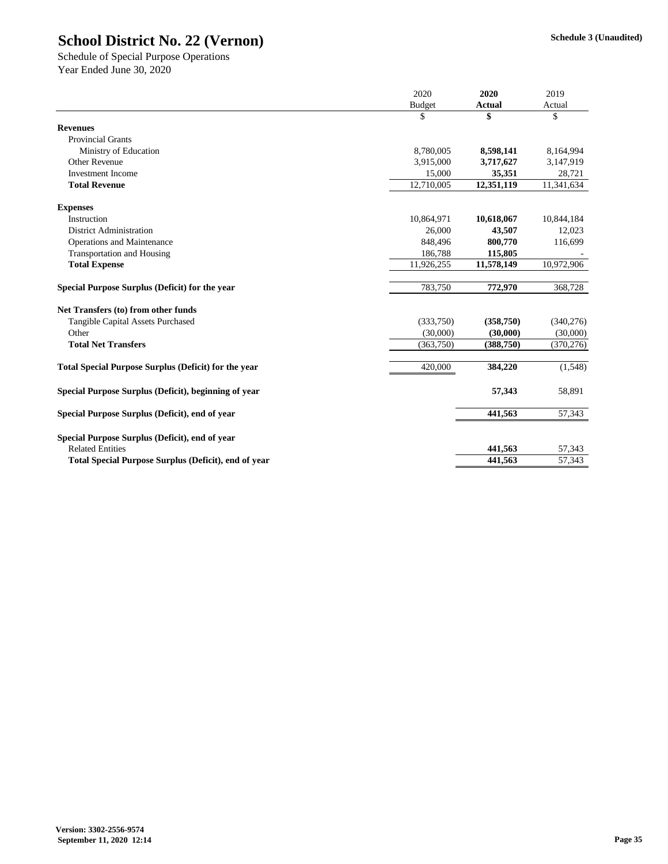|                                                             | 2020          | 2020          | 2019       |
|-------------------------------------------------------------|---------------|---------------|------------|
|                                                             | <b>Budget</b> | <b>Actual</b> | Actual     |
|                                                             | \$            | \$            | \$         |
| <b>Revenues</b>                                             |               |               |            |
| <b>Provincial Grants</b>                                    |               |               |            |
| Ministry of Education                                       | 8,780,005     | 8,598,141     | 8,164,994  |
| <b>Other Revenue</b>                                        | 3,915,000     | 3,717,627     | 3,147,919  |
| <b>Investment Income</b>                                    | 15,000        | 35,351        | 28,721     |
| <b>Total Revenue</b>                                        | 12,710,005    | 12,351,119    | 11,341,634 |
| <b>Expenses</b>                                             |               |               |            |
| Instruction                                                 | 10,864,971    | 10,618,067    | 10,844,184 |
| <b>District Administration</b>                              | 26,000        | 43,507        | 12,023     |
| <b>Operations and Maintenance</b>                           | 848,496       | 800,770       | 116,699    |
| <b>Transportation and Housing</b>                           | 186,788       | 115,805       |            |
| <b>Total Expense</b>                                        | 11,926,255    | 11,578,149    | 10,972,906 |
| Special Purpose Surplus (Deficit) for the year              | 783,750       | 772,970       | 368,728    |
| Net Transfers (to) from other funds                         |               |               |            |
| <b>Tangible Capital Assets Purchased</b>                    | (333,750)     | (358, 750)    | (340,276)  |
| Other                                                       | (30,000)      | (30,000)      | (30,000)   |
| <b>Total Net Transfers</b>                                  | (363, 750)    | (388, 750)    | (370, 276) |
| <b>Total Special Purpose Surplus (Deficit) for the year</b> | 420,000       | 384,220       | (1,548)    |
| Special Purpose Surplus (Deficit), beginning of year        |               | 57,343        | 58,891     |
| Special Purpose Surplus (Deficit), end of year              |               | 441,563       | 57,343     |
| Special Purpose Surplus (Deficit), end of year              |               |               |            |
| <b>Related Entities</b>                                     |               | 441,563       | 57,343     |
| <b>Total Special Purpose Surplus (Deficit), end of year</b> |               | 441,563       | 57,343     |

Year Ended June 30, 2020 Schedule of Special Purpose Operations

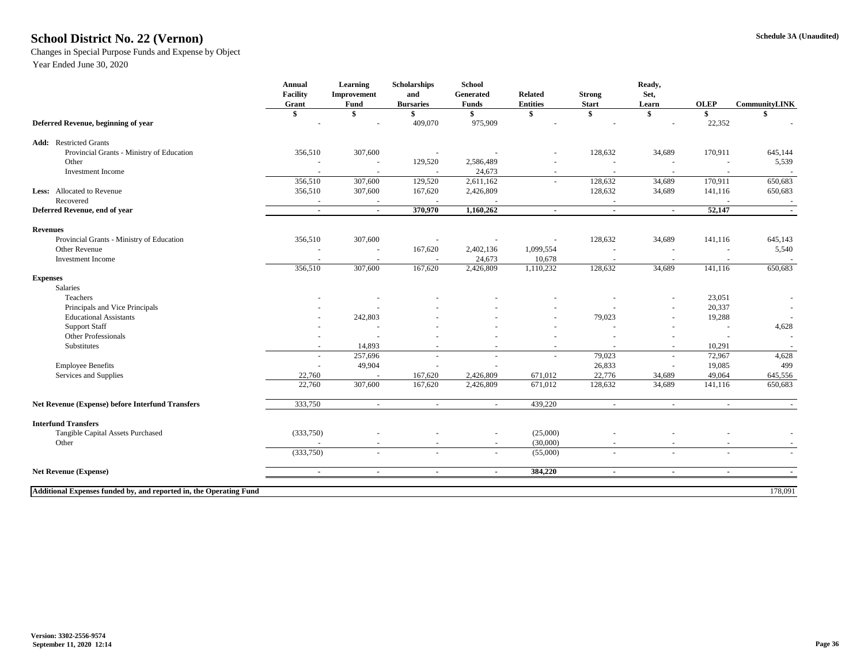### **Schedule 3A (Unaudited) School District No. 22 (Vernon)**

Changes in Special Purpose Funds and Expense by Object

|                                                                    | <b>Annual</b>     | <b>Learning</b> | Scholarships     | <b>School</b>            |                          |                          | Ready,                   |                          |                          |
|--------------------------------------------------------------------|-------------------|-----------------|------------------|--------------------------|--------------------------|--------------------------|--------------------------|--------------------------|--------------------------|
|                                                                    | <b>Facility</b>   | Improvement     | and              | Generated                | <b>Related</b>           | <b>Strong</b>            | Set,                     |                          |                          |
|                                                                    | Grant             | <b>Fund</b>     | <b>Bursaries</b> | <b>Funds</b>             | <b>Entities</b>          | <b>Start</b>             | Learn                    | <b>OLEP</b>              | <b>CommunityLINK</b>     |
| Deferred Revenue, beginning of year                                | $\boldsymbol{\$}$ | \$              | 409,070          | \$<br>975,909            | \$                       | \$                       | \$                       | 22,352                   | \$                       |
| <b>Add:</b> Restricted Grants                                      |                   |                 |                  |                          |                          |                          |                          |                          |                          |
| Provincial Grants - Ministry of Education                          | 356,510           | 307,600         |                  |                          | $\overline{\phantom{a}}$ | 128,632                  | 34,689                   | 170,911                  | 645,144                  |
| Other                                                              |                   |                 | 129,520          | 2,586,489                |                          |                          |                          |                          | 5,539                    |
| Investment Income                                                  |                   |                 |                  | 24,673                   | $\overline{\phantom{0}}$ |                          |                          |                          |                          |
|                                                                    | 356,510           | 307,600         | 129,520          | 2,611,162                | $\sim$                   | 128,632                  | 34,689                   | 170,911                  | 650,683                  |
| Less: Allocated to Revenue                                         | 356,510           | 307,600         | 167,620          | 2,426,809                |                          | 128,632                  | 34,689                   | 141,116                  | 650,683                  |
| Recovered                                                          |                   |                 |                  |                          |                          | $\overline{\phantom{a}}$ |                          |                          |                          |
| Deferred Revenue, end of year                                      | $\sim$            | $\sim$          | 370,970          | 1,160,262                | $\sim$                   | $\sim$                   | $\sim$                   | 52,147                   | $\sim$                   |
| <b>Revenues</b>                                                    |                   |                 |                  |                          |                          |                          |                          |                          |                          |
| Provincial Grants - Ministry of Education                          | 356,510           | 307,600         |                  | $\overline{\phantom{a}}$ |                          | 128,632                  | 34,689                   | 141,116                  | 645,143                  |
| <b>Other Revenue</b>                                               |                   |                 | 167,620          | 2,402,136                | 1,099,554                |                          |                          |                          | 5,540                    |
| <b>Investment Income</b>                                           |                   |                 |                  | 24,673                   | 10,678                   | $\overline{\phantom{a}}$ |                          |                          |                          |
|                                                                    | 356,510           | 307,600         | 167,620          | 2,426,809                | 1,110,232                | 128,632                  | 34,689                   | 141,116                  | 650,683                  |
| <b>Expenses</b>                                                    |                   |                 |                  |                          |                          |                          |                          |                          |                          |
| Salaries                                                           |                   |                 |                  |                          |                          |                          |                          |                          |                          |
| Teachers                                                           |                   |                 |                  |                          | $\overline{\phantom{a}}$ |                          | $\overline{\phantom{a}}$ | 23,051                   | $\overline{\phantom{a}}$ |
| Principals and Vice Principals                                     |                   |                 |                  |                          | $\overline{\phantom{a}}$ |                          | $\overline{\phantom{a}}$ | 20,337                   |                          |
| <b>Educational Assistants</b>                                      |                   | 242,803         |                  |                          | $\overline{\phantom{a}}$ | 79,023                   | $\overline{\phantom{a}}$ | 19,288                   |                          |
| <b>Support Staff</b>                                               |                   |                 |                  |                          | $\overline{\phantom{a}}$ |                          | $\overline{\phantom{a}}$ |                          | 4,628                    |
| <b>Other Professionals</b>                                         |                   |                 |                  |                          | $\overline{\phantom{a}}$ |                          |                          |                          |                          |
| Substitutes                                                        |                   | 14,893          |                  |                          | $\overline{\phantom{a}}$ |                          | $\overline{\phantom{a}}$ | 10,291                   |                          |
|                                                                    | $\sim$            | 257,696         |                  | $\overline{\phantom{a}}$ | $\overline{\phantom{a}}$ | 79,023                   | $\overline{\phantom{a}}$ | 72,967                   | 4,628                    |
| <b>Employee Benefits</b>                                           |                   | 49,904          |                  |                          |                          | 26,833                   | $\overline{\phantom{a}}$ | 19,085                   | 499                      |
| Services and Supplies                                              | 22,760            |                 | 167,620          | 2,426,809                | 671,012                  | 22,776                   | 34,689                   | 49,064                   | 645,556                  |
|                                                                    | 22,760            | 307,600         | 167,620          | 2,426,809                | 671,012                  | 128,632                  | 34,689                   | 141,116                  | 650,683                  |
| <b>Net Revenue (Expense) before Interfund Transfers</b>            | 333,750           |                 |                  |                          | 439,220                  |                          |                          |                          |                          |
| <b>Interfund Transfers</b>                                         |                   |                 |                  |                          |                          |                          |                          |                          |                          |
| Tangible Capital Assets Purchased                                  | (333,750)         |                 |                  |                          | (25,000)                 |                          |                          |                          |                          |
| Other                                                              |                   |                 |                  | $\overline{\phantom{a}}$ | (30,000)                 |                          |                          |                          |                          |
|                                                                    | (333,750)         |                 |                  | $\overline{\phantom{a}}$ | (55,000)                 | $\overline{\phantom{a}}$ | $\sim$                   | $\overline{\phantom{a}}$ | $\sim$                   |
|                                                                    |                   |                 |                  |                          |                          |                          |                          |                          |                          |
| <b>Net Revenue (Expense)</b>                                       | $\blacksquare$    | $\blacksquare$  | $\blacksquare$   | $\sim$                   | 384,220                  | $\blacksquare$           | $\blacksquare$           | $\sim$                   | $\sim$                   |
| Additional Expenses funded by, and reported in, the Operating Fund |                   |                 |                  |                          |                          |                          |                          |                          | 178,091                  |
|                                                                    |                   |                 |                  |                          |                          |                          |                          |                          |                          |

Year Ended June 30, 2020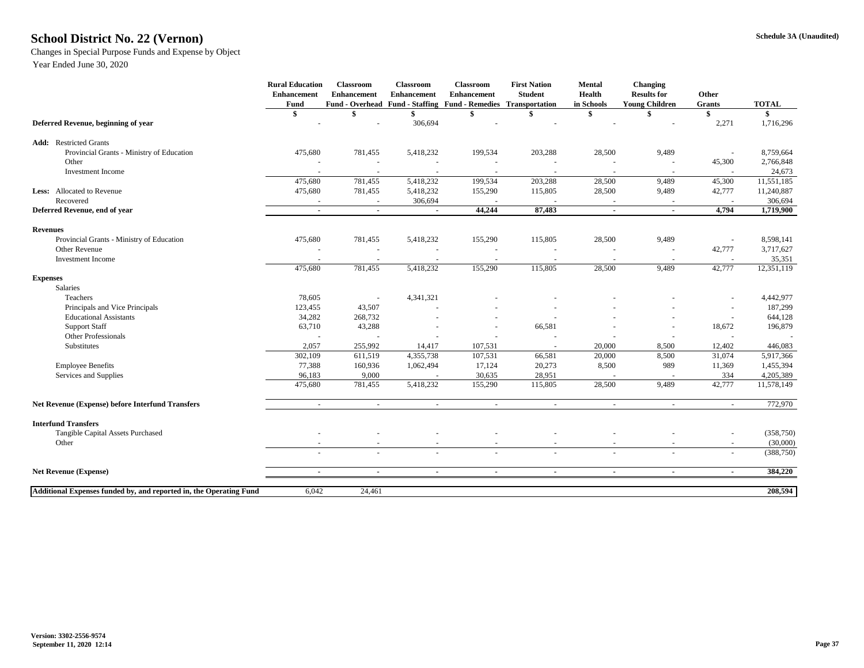### **Schedule 3A (Unaudited) School District No. 22 (Vernon)**

Changes in Special Purpose Funds and Expense by Object

Year Ended June 30, 2020

|                                                                    | <b>Rural Education</b><br><b>Enhancement</b><br><b>Fund</b> | <b>Classroom</b><br><b>Enhancement</b> | <b>Classroom</b><br><b>Enhancement</b> | <b>Classroom</b><br><b>Enhancement</b><br>Fund - Overhead Fund - Staffing Fund - Remedies Transportation | <b>First Nation</b><br><b>Student</b> | <b>Mental</b><br><b>Health</b><br>in Schools | <b>Changing</b><br><b>Results for</b><br><b>Young Children</b> | Other<br><b>Grants</b>   | <b>TOTAL</b> |
|--------------------------------------------------------------------|-------------------------------------------------------------|----------------------------------------|----------------------------------------|----------------------------------------------------------------------------------------------------------|---------------------------------------|----------------------------------------------|----------------------------------------------------------------|--------------------------|--------------|
|                                                                    | \$                                                          |                                        |                                        |                                                                                                          |                                       |                                              |                                                                |                          |              |
| Deferred Revenue, beginning of year                                |                                                             |                                        | 306,694                                |                                                                                                          |                                       |                                              |                                                                | 2,271                    | 1,716,296    |
| <b>Add:</b> Restricted Grants                                      |                                                             |                                        |                                        |                                                                                                          |                                       |                                              |                                                                |                          |              |
| Provincial Grants - Ministry of Education                          | 475,680                                                     | 781,455                                | 5,418,232                              | 199,534                                                                                                  | 203,288                               | 28,500                                       | 9,489                                                          |                          | 8,759,664    |
| Other                                                              |                                                             |                                        |                                        |                                                                                                          |                                       |                                              |                                                                | 45,300                   | 2,766,848    |
| Investment Income                                                  |                                                             |                                        |                                        |                                                                                                          |                                       |                                              |                                                                |                          | 24,673       |
|                                                                    | 475,680                                                     | 781,455                                | 5,418,232                              | 199,534                                                                                                  | 203,288                               | 28,500                                       | 9,489                                                          | 45,300                   | 11,551,185   |
| <b>Less:</b> Allocated to Revenue                                  | 475,680                                                     | 781,455                                | 5,418,232                              | 155,290                                                                                                  | 115,805                               | 28,500                                       | 9,489                                                          | 42,777                   | 11,240,887   |
| Recovered                                                          |                                                             |                                        | 306,694                                |                                                                                                          |                                       |                                              |                                                                |                          | 306,694      |
| Deferred Revenue, end of year                                      | $\sim$                                                      | $\sim$                                 | $\sim$                                 | 44,244                                                                                                   | 87,483                                | $\blacksquare$                               | $\sim$                                                         | 4,794                    | 1,719,900    |
| <b>Revenues</b>                                                    |                                                             |                                        |                                        |                                                                                                          |                                       |                                              |                                                                |                          |              |
| Provincial Grants - Ministry of Education                          | 475,680                                                     | 781,455                                | 5,418,232                              | 155,290                                                                                                  | 115,805                               | 28,500                                       | 9,489                                                          |                          | 8,598,141    |
| Other Revenue                                                      |                                                             |                                        |                                        |                                                                                                          |                                       |                                              |                                                                | 42,777                   | 3,717,627    |
| <b>Investment Income</b>                                           |                                                             |                                        |                                        |                                                                                                          |                                       |                                              |                                                                |                          | 35,351       |
|                                                                    | 475,680                                                     | 781,455                                | 5,418,232                              | 155,290                                                                                                  | 115,805                               | 28,500                                       | 9,489                                                          | 42,777                   | 12,351,119   |
| <b>Expenses</b>                                                    |                                                             |                                        |                                        |                                                                                                          |                                       |                                              |                                                                |                          |              |
| Salaries                                                           |                                                             |                                        |                                        |                                                                                                          |                                       |                                              |                                                                |                          |              |
| Teachers                                                           | 78,605                                                      |                                        | 4,341,321                              |                                                                                                          |                                       |                                              |                                                                | $\overline{\phantom{a}}$ | 4,442,977    |
| Principals and Vice Principals                                     | 123,455                                                     | 43,507                                 |                                        |                                                                                                          |                                       |                                              |                                                                |                          | 187,299      |
| <b>Educational Assistants</b>                                      | 34,282                                                      | 268,732                                |                                        | $\overline{\phantom{a}}$                                                                                 |                                       |                                              |                                                                |                          | 644,128      |
| <b>Support Staff</b>                                               | 63,710                                                      | 43,288                                 |                                        | $\overline{\phantom{a}}$                                                                                 | 66,581                                |                                              |                                                                | 18,672                   | 196,879      |
| <b>Other Professionals</b>                                         |                                                             |                                        |                                        |                                                                                                          |                                       |                                              |                                                                |                          |              |
| Substitutes                                                        | 2,057                                                       | 255,992                                | 14,417                                 | 107,531                                                                                                  |                                       | 20,000                                       | 8,500                                                          | 12,402                   | 446,083      |
|                                                                    | 302,109                                                     | 611,519                                | 4,355,738                              | 107,531                                                                                                  | 66,581                                | 20,000                                       | 8,500                                                          | 31,074                   | 5,917,366    |
| <b>Employee Benefits</b>                                           | 77,388                                                      | 160,936                                | 1,062,494                              | 17,124                                                                                                   | 20,273                                | 8,500                                        | 989                                                            | 11,369                   | 1,455,394    |
| Services and Supplies                                              | 96,183                                                      | 9,000                                  |                                        | 30,635                                                                                                   | 28,951                                |                                              |                                                                | 334                      | 4,205,389    |
|                                                                    | 475,680                                                     | 781,455                                | 5,418,232                              | 155,290                                                                                                  | 115,805                               | 28,500                                       | 9,489                                                          | 42,777                   | 11,578,149   |
| <b>Net Revenue (Expense) before Interfund Transfers</b>            |                                                             | $\sim$                                 | $\sim$                                 | $\sim$                                                                                                   | $\sim$                                | $\sim$                                       | $\sim$                                                         | $\sim$                   | 772,970      |
| <b>Interfund Transfers</b>                                         |                                                             |                                        |                                        |                                                                                                          |                                       |                                              |                                                                |                          |              |
| Tangible Capital Assets Purchased                                  |                                                             |                                        |                                        |                                                                                                          |                                       |                                              |                                                                | $\overline{\phantom{a}}$ | (358, 750)   |
| Other                                                              |                                                             |                                        |                                        |                                                                                                          | $\overline{\phantom{a}}$              |                                              |                                                                | $\overline{\phantom{a}}$ | (30,000)     |
|                                                                    | $\sim$                                                      | $\sim$                                 | $\sim$                                 | $\sim$                                                                                                   | $\sim$                                | $\overline{a}$                               | $\sim$                                                         | $\overline{\phantom{a}}$ | (388, 750)   |
| <b>Net Revenue (Expense)</b>                                       |                                                             |                                        |                                        |                                                                                                          | $\sim$                                | $\sim$                                       |                                                                | $\blacksquare$           | 384,220      |
|                                                                    |                                                             |                                        |                                        |                                                                                                          |                                       |                                              |                                                                |                          |              |
| Additional Expenses funded by, and reported in, the Operating Fund | 6,042                                                       | 24,461                                 |                                        |                                                                                                          |                                       |                                              |                                                                |                          | 208,594      |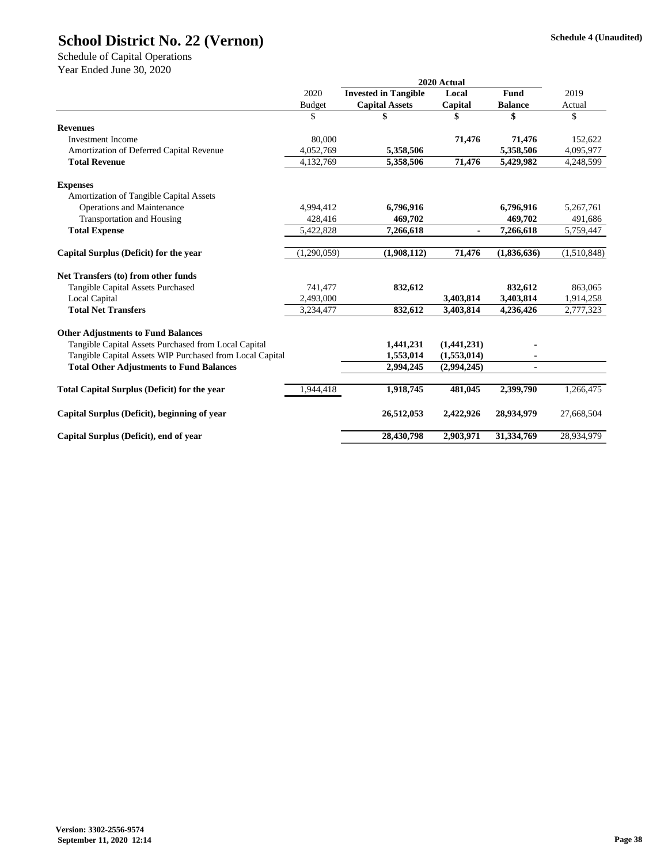|                                                          |               | 2020 Actual                 |             |                |             |
|----------------------------------------------------------|---------------|-----------------------------|-------------|----------------|-------------|
|                                                          | 2020          | <b>Invested in Tangible</b> | Local       | <b>Fund</b>    | 2019        |
|                                                          | <b>Budget</b> | <b>Capital Assets</b>       | Capital     | <b>Balance</b> | Actual      |
|                                                          | \$            | \$                          | \$          | \$             | \$          |
| <b>Revenues</b>                                          |               |                             |             |                |             |
| <b>Investment Income</b>                                 | 80,000        |                             | 71,476      | 71,476         | 152,622     |
| Amortization of Deferred Capital Revenue                 | 4,052,769     | 5,358,506                   |             | 5,358,506      | 4,095,977   |
| <b>Total Revenue</b>                                     | 4,132,769     | 5,358,506                   | 71,476      | 5,429,982      | 4,248,599   |
| <b>Expenses</b>                                          |               |                             |             |                |             |
| <b>Amortization of Tangible Capital Assets</b>           |               |                             |             |                |             |
| <b>Operations and Maintenance</b>                        | 4,994,412     | 6,796,916                   |             | 6,796,916      | 5,267,761   |
| <b>Transportation and Housing</b>                        | 428,416       | 469,702                     |             | 469,702        | 491,686     |
| <b>Total Expense</b>                                     | 5,422,828     | 7,266,618                   |             | 7,266,618      | 5,759,447   |
| Capital Surplus (Deficit) for the year                   | (1,290,059)   | (1,908,112)                 | 71,476      | (1,836,636)    | (1,510,848) |
| Net Transfers (to) from other funds                      |               |                             |             |                |             |
| Tangible Capital Assets Purchased                        | 741,477       | 832,612                     |             | 832,612        | 863,065     |
| Local Capital                                            | 2,493,000     |                             | 3,403,814   | 3,403,814      | 1,914,258   |
| <b>Total Net Transfers</b>                               | 3,234,477     | 832,612                     | 3,403,814   | 4,236,426      | 2,777,323   |
| <b>Other Adjustments to Fund Balances</b>                |               |                             |             |                |             |
| Tangible Capital Assets Purchased from Local Capital     |               | 1,441,231                   | (1,441,231) |                |             |
| Tangible Capital Assets WIP Purchased from Local Capital |               | 1,553,014                   | (1,553,014) |                |             |
| <b>Total Other Adjustments to Fund Balances</b>          |               | 2,994,245                   | (2,994,245) |                |             |
| <b>Total Capital Surplus (Deficit) for the year</b>      | 1,944,418     | 1,918,745                   | 481,045     | 2,399,790      | 1,266,475   |
| Capital Surplus (Deficit), beginning of year             |               | 26,512,053                  | 2,422,926   | 28,934,979     | 27,668,504  |
| Capital Surplus (Deficit), end of year                   |               | 28,430,798                  | 2,903,971   | 31,334,769     | 28,934,979  |

Year Ended June 30, 2020

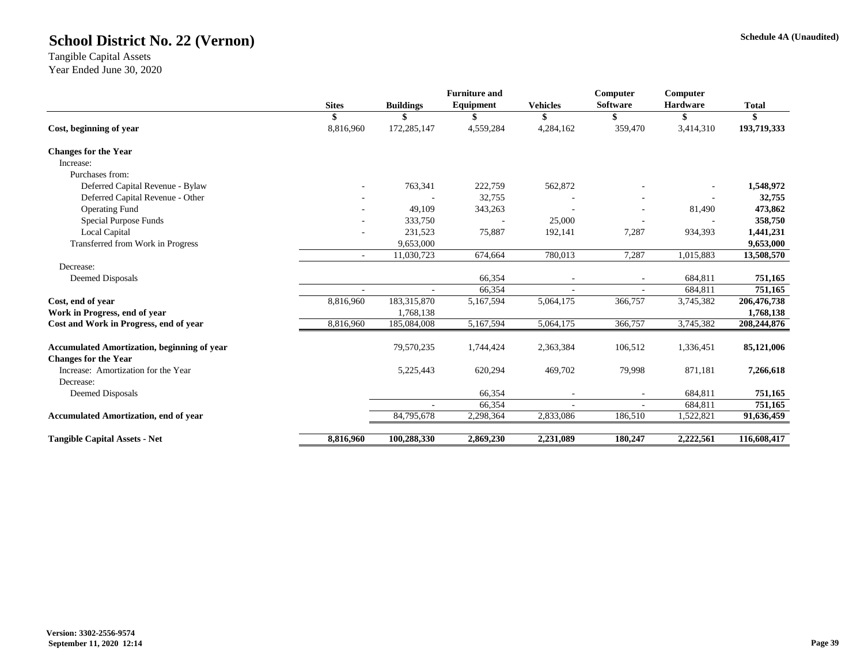#### **Schedule 4A (Unaudited)**

|              |                  |           |                                                     | Computer        | Computer        |                               |
|--------------|------------------|-----------|-----------------------------------------------------|-----------------|-----------------|-------------------------------|
| <b>Sites</b> | <b>Buildings</b> | Equipment | <b>Vehicles</b>                                     | <b>Software</b> | <b>Hardware</b> | <b>Total</b>                  |
| S            | S                |           | S                                                   | \$              | \$              | \$                            |
| 8,816,960    | 172,285,147      | 4,559,284 | 4,284,162                                           | 359,470         | 3,414,310       | 193,719,333                   |
|              |                  |           |                                                     |                 |                 |                               |
|              |                  |           |                                                     |                 |                 |                               |
|              |                  |           |                                                     |                 |                 |                               |
|              | 763,341          | 222,759   | 562,872                                             |                 |                 | 1,548,972                     |
|              |                  | 32,755    |                                                     |                 |                 | 32,755                        |
|              | 49,109           | 343,263   |                                                     |                 | 81,490          | 473,862                       |
|              | 333,750          |           | 25,000                                              |                 |                 | 358,750                       |
|              | 231,523          | 75,887    | 192,141                                             | 7,287           | 934,393         | 1,441,231                     |
|              | 9,653,000        |           |                                                     |                 |                 | 9,653,000                     |
| $\sim$       | 11,030,723       | 674,664   | 780,013                                             | 7,287           | 1,015,883       | 13,508,570                    |
|              |                  |           |                                                     |                 |                 |                               |
|              |                  | 66,354    |                                                     |                 | 684,811         | 751,165                       |
|              |                  | 66,354    |                                                     |                 | 684,811         | 751,165                       |
| 8,816,960    | 183,315,870      | 5,167,594 | 5,064,175                                           | 366,757         | 3,745,382       | 206,476,738                   |
|              | 1,768,138        |           |                                                     |                 |                 | 1,768,138                     |
| 8,816,960    | 185,084,008      | 5,167,594 | 5,064,175                                           | 366,757         | 3,745,382       | 208,244,876                   |
|              | 79,570,235       | 1,744,424 | 2,363,384                                           | 106,512         | 1,336,451       | 85,121,006                    |
|              |                  |           |                                                     |                 |                 |                               |
|              |                  |           |                                                     |                 |                 | 7,266,618                     |
|              |                  |           | $\overline{\phantom{a}}$                            |                 |                 | 751,165                       |
|              |                  |           |                                                     |                 |                 | 751,165                       |
|              | 84,795,678       | 2,298,364 | 2,833,086                                           | 186,510         | 1,522,821       | 91,636,459                    |
| 8,816,960    | 100,288,330      | 2,869,230 | 2,231,089                                           | 180,247         | 2,222,561       | 116,608,417                   |
|              |                  | 5,225,443 | <b>Furniture and</b><br>620,294<br>66,354<br>66,354 | 469,702         | 79,998          | 871,181<br>684,811<br>684,811 |

Tangible Capital Assets Year Ended June 30, 2020

### **School District No. 22 (Vernon)**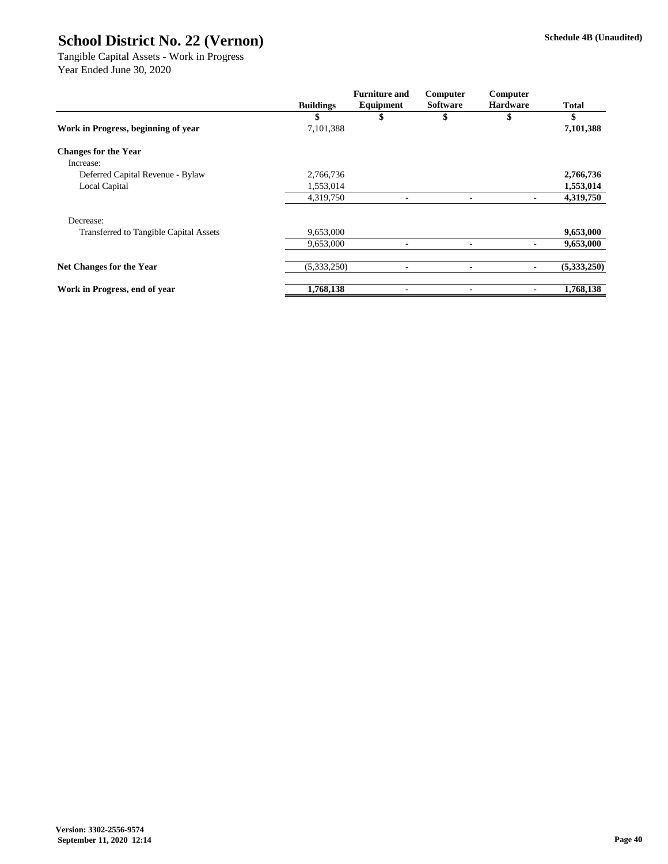|                                               |                  | <b>Furniture and</b> | Computer<br><b>Software</b> | Computer<br><b>Hardware</b> | <b>Total</b> |
|-----------------------------------------------|------------------|----------------------|-----------------------------|-----------------------------|--------------|
|                                               | <b>Buildings</b> | Equipment            |                             |                             |              |
|                                               | \$               | \$                   | \$                          | \$                          | \$           |
| Work in Progress, beginning of year           | 7,101,388        |                      |                             |                             | 7,101,388    |
| <b>Changes for the Year</b>                   |                  |                      |                             |                             |              |
| Increase:                                     |                  |                      |                             |                             |              |
| Deferred Capital Revenue - Bylaw              | 2,766,736        |                      |                             |                             | 2,766,736    |
| Local Capital                                 | 1,553,014        |                      |                             |                             | 1,553,014    |
|                                               | 4,319,750        |                      |                             |                             | 4,319,750    |
| Decrease:                                     |                  |                      |                             |                             |              |
| <b>Transferred to Tangible Capital Assets</b> | 9,653,000        |                      |                             |                             | 9,653,000    |
|                                               | 9,653,000        |                      |                             |                             | 9,653,000    |
| <b>Net Changes for the Year</b>               | (5,333,250)      | -                    | $\overline{\phantom{a}}$    |                             | (5,333,250)  |
| Work in Progress, end of year                 | 1,768,138        |                      |                             |                             | 1,768,138    |

Tangible Capital Assets - Work in Progress Year Ended June 30, 2020

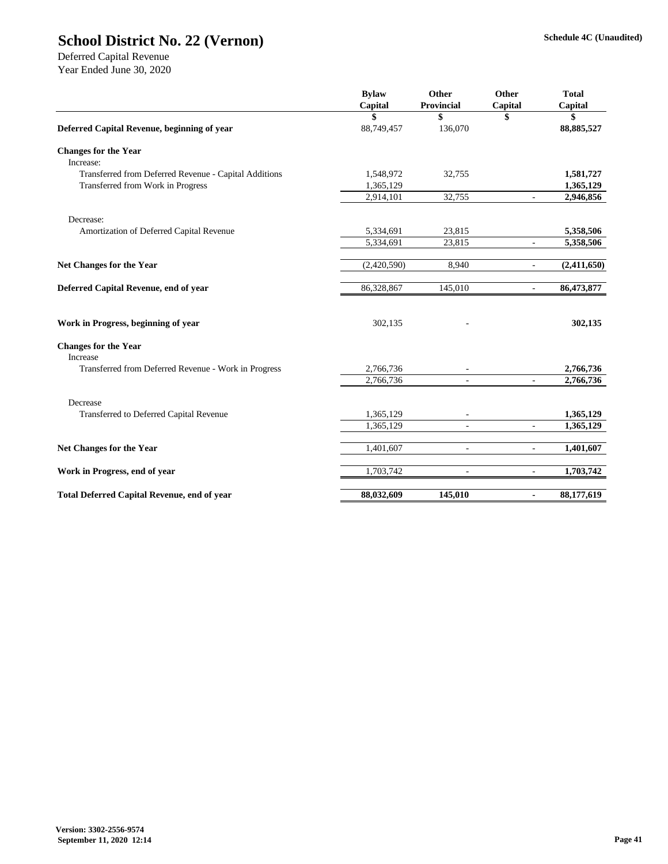| <b>Bylaw</b><br>Capital | <b>Other</b><br><b>Provincial</b> | <b>Other</b>             | <b>Total</b><br>Capital |
|-------------------------|-----------------------------------|--------------------------|-------------------------|
| \$                      | \$                                | \$                       | \$                      |
| 88,749,457              | 136,070                           |                          | 88, 885, 527            |
|                         |                                   |                          |                         |
|                         |                                   |                          |                         |
| 1,548,972               | 32,755                            |                          | 1,581,727               |
| 1,365,129               |                                   |                          | 1,365,129               |
| 2,914,101               | 32,755                            | $\overline{\phantom{a}}$ | 2,946,856               |
|                         |                                   |                          |                         |
| 5,334,691               | 23,815                            |                          | 5,358,506               |
| 5,334,691               | 23,815                            | $\overline{\phantom{a}}$ | 5,358,506               |
| (2,420,590)             | 8,940                             | $\overline{\phantom{a}}$ | (2,411,650)             |
| 86,328,867              | 145,010                           | $\overline{\phantom{a}}$ | 86,473,877              |
| 302,135                 |                                   |                          | 302,135                 |
|                         |                                   |                          |                         |
|                         |                                   |                          | 2,766,736               |
| 2,766,736               | $\overline{\phantom{a}}$          | $\blacksquare$           | 2,766,736               |
|                         |                                   |                          |                         |
| 1,365,129               |                                   |                          | 1,365,129               |
| 1,365,129               | $\overline{\phantom{a}}$          | $\overline{\phantom{a}}$ | 1,365,129               |
| 1,401,607               | $\overline{\phantom{0}}$          | $\overline{\phantom{a}}$ | 1,401,607               |
| 1,703,742               | $\overline{\phantom{a}}$          | $\overline{\phantom{a}}$ | 1,703,742               |
| 88,032,609              | 145,010                           | $\blacksquare$           | 88,177,619              |
|                         | 2,766,736                         |                          | Capital                 |

Deferred Capital Revenue Year Ended June 30, 2020